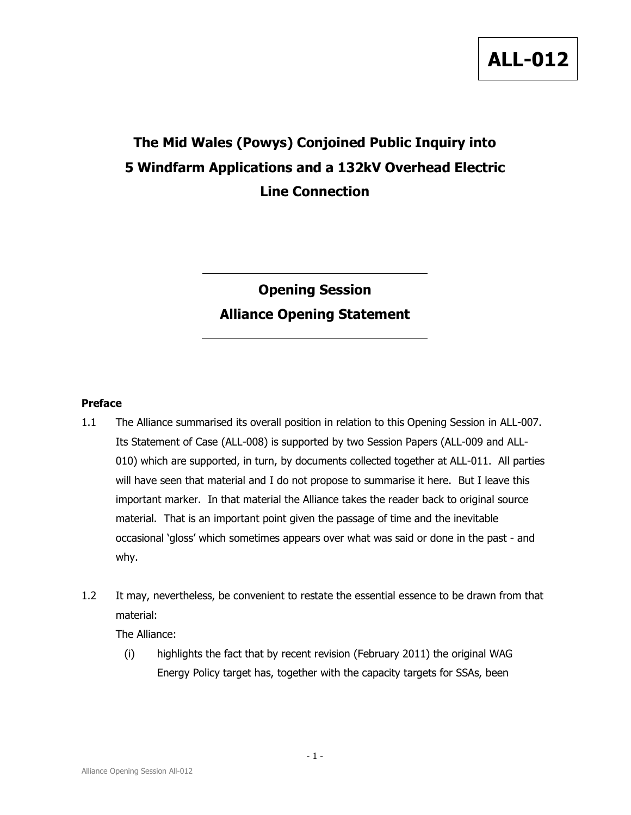# The Mid Wales (Powys) Conjoined Public Inquiry into 5 Windfarm Applications and a 132kV Overhead Electric Line Connection

## Opening Session Alliance Opening Statement

## Preface

- 1.1 The Alliance summarised its overall position in relation to this Opening Session in ALL-007. Its Statement of Case (ALL-008) is supported by two Session Papers (ALL-009 and ALL-010) which are supported, in turn, by documents collected together at ALL-011. All parties will have seen that material and I do not propose to summarise it here. But I leave this important marker. In that material the Alliance takes the reader back to original source material. That is an important point given the passage of time and the inevitable occasional 'gloss' which sometimes appears over what was said or done in the past - and why.
- 1.2 It may, nevertheless, be convenient to restate the essential essence to be drawn from that material:

The Alliance:

(i) highlights the fact that by recent revision (February 2011) the original WAG Energy Policy target has, together with the capacity targets for SSAs, been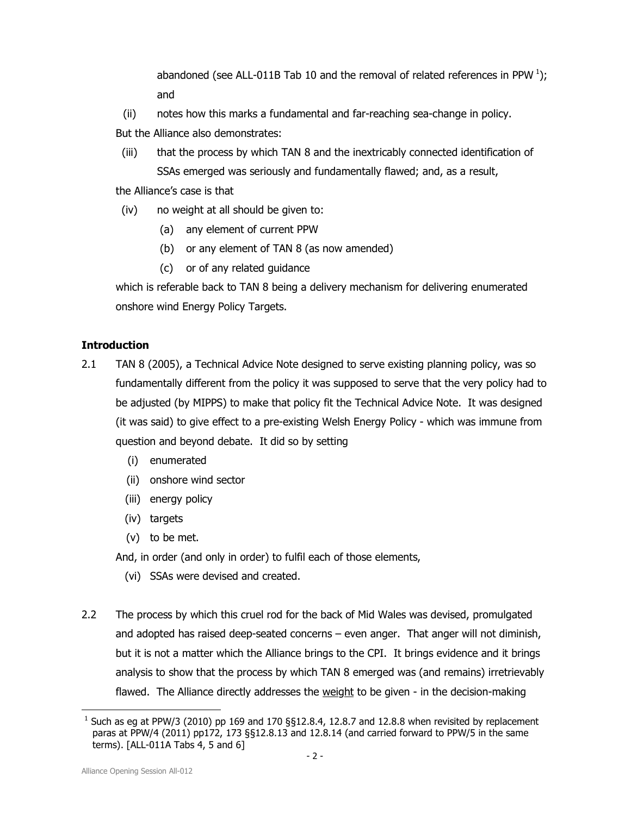abandoned (see ALL-011B Tab 10 and the removal of related references in PPW<sup>1</sup>); and

(ii) notes how this marks a fundamental and far-reaching sea-change in policy.

But the Alliance also demonstrates:

(iii) that the process by which TAN 8 and the inextricably connected identification of SSAs emerged was seriously and fundamentally flawed; and, as a result,

the Alliance's case is that

- (iv) no weight at all should be given to:
	- (a) any element of current PPW
	- (b) or any element of TAN 8 (as now amended)
	- (c) or of any related guidance

which is referable back to TAN 8 being a delivery mechanism for delivering enumerated onshore wind Energy Policy Targets.

## **Introduction**

- 2.1 TAN 8 (2005), a Technical Advice Note designed to serve existing planning policy, was so fundamentally different from the policy it was supposed to serve that the very policy had to be adjusted (by MIPPS) to make that policy fit the Technical Advice Note. It was designed (it was said) to give effect to a pre-existing Welsh Energy Policy - which was immune from question and beyond debate. It did so by setting
	- (i) enumerated
	- (ii) onshore wind sector
	- (iii) energy policy
	- (iv) targets
	- (v) to be met.

And, in order (and only in order) to fulfil each of those elements,

- (vi) SSAs were devised and created.
- 2.2 The process by which this cruel rod for the back of Mid Wales was devised, promulgated and adopted has raised deep-seated concerns – even anger. That anger will not diminish, but it is not a matter which the Alliance brings to the CPI. It brings evidence and it brings analysis to show that the process by which TAN 8 emerged was (and remains) irretrievably flawed. The Alliance directly addresses the weight to be given - in the decision-making

l  $<sup>1</sup>$  Such as eg at PPW/3 (2010) pp 169 and 170 §§12.8.4, 12.8.7 and 12.8.8 when revisited by replacement</sup> paras at PPW/4 (2011) pp172, 173 §§12.8.13 and 12.8.14 (and carried forward to PPW/5 in the same terms). [ALL-011A Tabs 4, 5 and 6]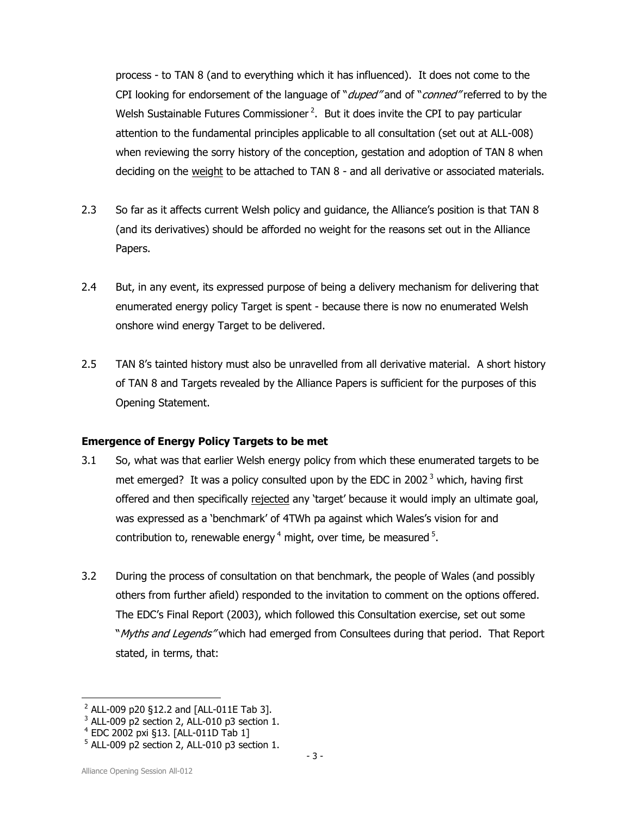process - to TAN 8 (and to everything which it has influenced). It does not come to the CPI looking for endorsement of the language of "*duped"* and of "*conned"* referred to by the Welsh Sustainable Futures Commissioner<sup>2</sup>. But it does invite the CPI to pay particular attention to the fundamental principles applicable to all consultation (set out at ALL-008) when reviewing the sorry history of the conception, gestation and adoption of TAN 8 when deciding on the weight to be attached to TAN 8 - and all derivative or associated materials.

- 2.3 So far as it affects current Welsh policy and guidance, the Alliance's position is that TAN 8 (and its derivatives) should be afforded no weight for the reasons set out in the Alliance Papers.
- 2.4 But, in any event, its expressed purpose of being a delivery mechanism for delivering that enumerated energy policy Target is spent - because there is now no enumerated Welsh onshore wind energy Target to be delivered.
- 2.5 TAN 8's tainted history must also be unravelled from all derivative material. A short history of TAN 8 and Targets revealed by the Alliance Papers is sufficient for the purposes of this Opening Statement.

## Emergence of Energy Policy Targets to be met

- 3.1 So, what was that earlier Welsh energy policy from which these enumerated targets to be met emerged? It was a policy consulted upon by the EDC in 2002 $<sup>3</sup>$  which, having first</sup> offered and then specifically rejected any 'target' because it would imply an ultimate goal, was expressed as a 'benchmark' of 4TWh pa against which Wales's vision for and contribution to, renewable energy  $4$  might, over time, be measured  $5$ .
- 3.2 During the process of consultation on that benchmark, the people of Wales (and possibly others from further afield) responded to the invitation to comment on the options offered. The EDC's Final Report (2003), which followed this Consultation exercise, set out some "Myths and Legends" which had emerged from Consultees during that period. That Report stated, in terms, that:

l  $2$  ALL-009 p20 §12.2 and [ALL-011E Tab 3].

 $3$  ALL-009 p2 section 2, ALL-010 p3 section 1.

<sup>4</sup> EDC 2002 pxi §13. [ALL-011D Tab 1]

 $5$  ALL-009 p2 section 2, ALL-010 p3 section 1.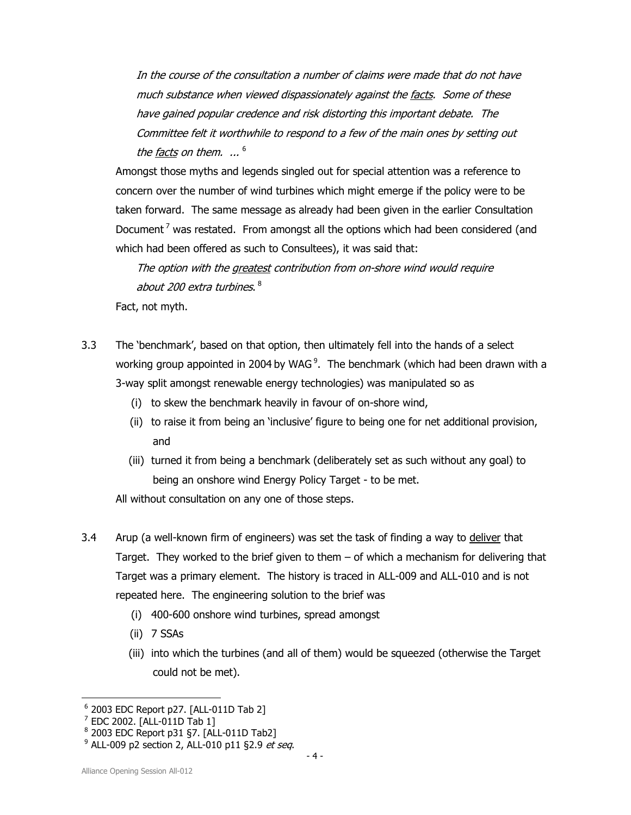In the course of the consultation a number of claims were made that do not have much substance when viewed dispassionately against the facts. Some of these have gained popular credence and risk distorting this important debate. The Committee felt it worthwhile to respond to a few of the main ones by setting out the facts on them.  $\,$   $\,$   $\,$   $^6$ 

Amongst those myths and legends singled out for special attention was a reference to concern over the number of wind turbines which might emerge if the policy were to be taken forward. The same message as already had been given in the earlier Consultation Document<sup>7</sup> was restated. From amongst all the options which had been considered (and which had been offered as such to Consultees), it was said that:

The option with the greatest contribution from on-shore wind would require about 200 extra turbines.  $^8$ 

Fact, not myth.

- 3.3 The 'benchmark', based on that option, then ultimately fell into the hands of a select working group appointed in 2004 by WAG<sup>9</sup>. The benchmark (which had been drawn with a 3-way split amongst renewable energy technologies) was manipulated so as
	- (i) to skew the benchmark heavily in favour of on-shore wind,
	- (ii) to raise it from being an 'inclusive' figure to being one for net additional provision, and
	- (iii) turned it from being a benchmark (deliberately set as such without any goal) to being an onshore wind Energy Policy Target - to be met.
	- All without consultation on any one of those steps.
- 3.4 Arup (a well-known firm of engineers) was set the task of finding a way to deliver that Target. They worked to the brief given to them – of which a mechanism for delivering that Target was a primary element. The history is traced in ALL-009 and ALL-010 and is not repeated here. The engineering solution to the brief was
	- (i) 400-600 onshore wind turbines, spread amongst
	- (ii) 7 SSAs
	- (iii) into which the turbines (and all of them) would be squeezed (otherwise the Target could not be met).

<sup>6</sup> 2003 EDC Report p27. [ALL-011D Tab 2]

 $^7$  EDC 2002. [ALL-011D Tab 1]

<sup>8</sup> 2003 EDC Report p31 §7. [ALL-011D Tab2]

<sup>&</sup>lt;sup>9</sup> ALL-009 p2 section 2, ALL-010 p11 §2.9 *et seq*.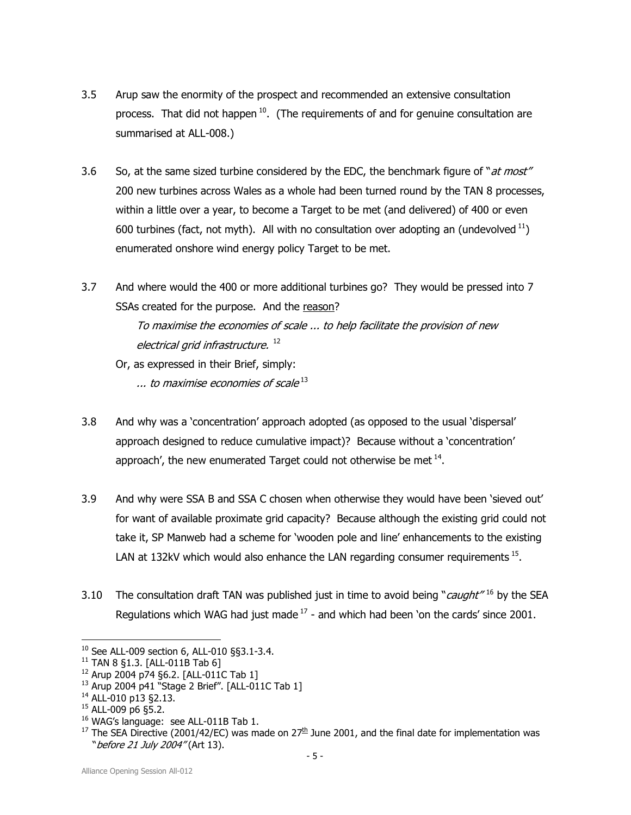- 3.5 Arup saw the enormity of the prospect and recommended an extensive consultation process. That did not happen<sup>10</sup>. (The requirements of and for genuine consultation are summarised at ALL-008.)
- 3.6 So, at the same sized turbine considered by the EDC, the benchmark figure of "at most" 200 new turbines across Wales as a whole had been turned round by the TAN 8 processes, within a little over a year, to become a Target to be met (and delivered) of 400 or even 600 turbines (fact, not myth). All with no consultation over adopting an (undevolved  $^{11}$ ) enumerated onshore wind energy policy Target to be met.
- 3.7 And where would the 400 or more additional turbines go? They would be pressed into 7 SSAs created for the purpose. And the reason? To maximise the economies of scale ... to help facilitate the provision of new electrical grid infrastructure.<sup>12</sup>
	- Or, as expressed in their Brief, simply:

 $\dots$  to maximise economies of scale  $^{13}$ 

- 3.8 And why was a 'concentration' approach adopted (as opposed to the usual 'dispersal' approach designed to reduce cumulative impact)? Because without a 'concentration' approach', the new enumerated Target could not otherwise be met  $^{14}$ .
- 3.9 And why were SSA B and SSA C chosen when otherwise they would have been 'sieved out' for want of available proximate grid capacity? Because although the existing grid could not take it, SP Manweb had a scheme for 'wooden pole and line' enhancements to the existing LAN at 132kV which would also enhance the LAN regarding consumer requirements  $15$ .
- 3.10 The consultation draft TAN was published just in time to avoid being "*caught*"<sup>16</sup> by the SEA Regulations which WAG had just made  $17$  - and which had been 'on the cards' since 2001.

<sup>10</sup> See ALL-009 section 6, ALL-010 §§3.1-3.4.

<sup>11</sup> TAN 8 §1.3. [ALL-011B Tab 6]

<sup>12</sup> Arup 2004 p74 §6.2. [ALL-011C Tab 1]

<sup>13</sup> Arup 2004 p41 "Stage 2 Brief". [ALL-011C Tab 1]

<sup>14</sup> ALL-010 p13 §2.13.

<sup>15</sup> ALL-009 p6 §5.2.

<sup>&</sup>lt;sup>16</sup> WAG's language: see ALL-011B Tab 1.

<sup>&</sup>lt;sup>17</sup> The SEA Directive (2001/42/EC) was made on  $27<sup>th</sup>$  June 2001, and the final date for implementation was " before 21 July 2004" (Art 13).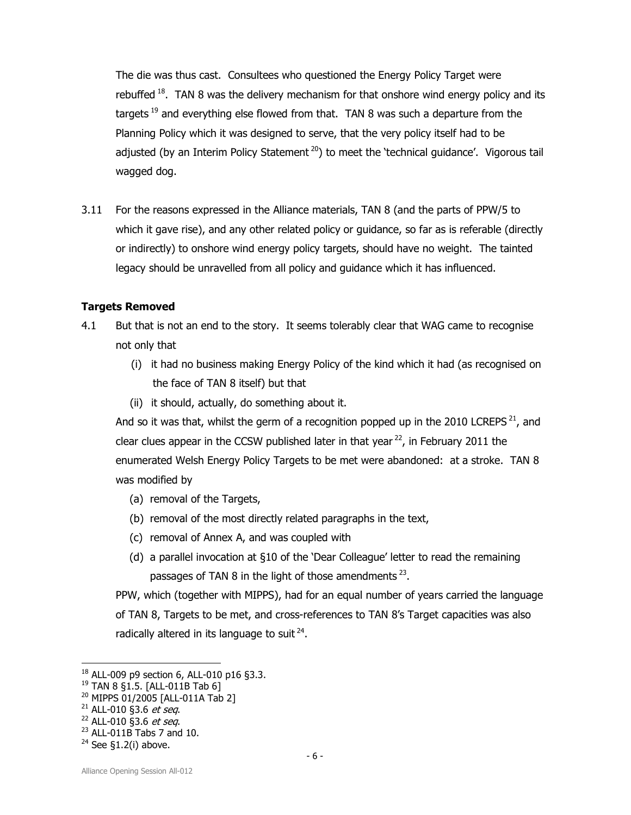The die was thus cast. Consultees who questioned the Energy Policy Target were rebuffed<sup>18</sup>. TAN 8 was the delivery mechanism for that onshore wind energy policy and its targets<sup>19</sup> and everything else flowed from that. TAN 8 was such a departure from the Planning Policy which it was designed to serve, that the very policy itself had to be adjusted (by an Interim Policy Statement<sup>20</sup>) to meet the 'technical guidance'. Vigorous tail wagged dog.

3.11 For the reasons expressed in the Alliance materials, TAN 8 (and the parts of PPW/5 to which it gave rise), and any other related policy or guidance, so far as is referable (directly or indirectly) to onshore wind energy policy targets, should have no weight. The tainted legacy should be unravelled from all policy and guidance which it has influenced.

## Targets Removed

- 4.1 But that is not an end to the story. It seems tolerably clear that WAG came to recognise not only that
	- (i) it had no business making Energy Policy of the kind which it had (as recognised on the face of TAN 8 itself) but that
	- (ii) it should, actually, do something about it.

And so it was that, whilst the germ of a recognition popped up in the 2010 LCREPS<sup>21</sup>, and clear clues appear in the CCSW published later in that year  $^{22}$ , in February 2011 the enumerated Welsh Energy Policy Targets to be met were abandoned: at a stroke. TAN 8 was modified by

- (a) removal of the Targets,
- (b) removal of the most directly related paragraphs in the text,
- (c) removal of Annex A, and was coupled with
- (d) a parallel invocation at §10 of the 'Dear Colleague' letter to read the remaining passages of TAN 8 in the light of those amendments  $^{23}$ .

PPW, which (together with MIPPS), had for an equal number of years carried the language of TAN 8, Targets to be met, and cross-references to TAN 8's Target capacities was also radically altered in its language to suit  $24$ .

<sup>18</sup> ALL-009 p9 section 6, ALL-010 p16 §3.3.

<sup>19</sup> TAN 8 §1.5. [ALL-011B Tab 6]

<sup>20</sup> MIPPS 01/2005 [ALL-011A Tab 2]

 $21$  ALL-010 §3.6 et seq.

 $22$  ALL-010 §3.6 *et seq.* 

 $23$  ALL-011B Tabs 7 and 10.

 $24$  See §1.2(i) above.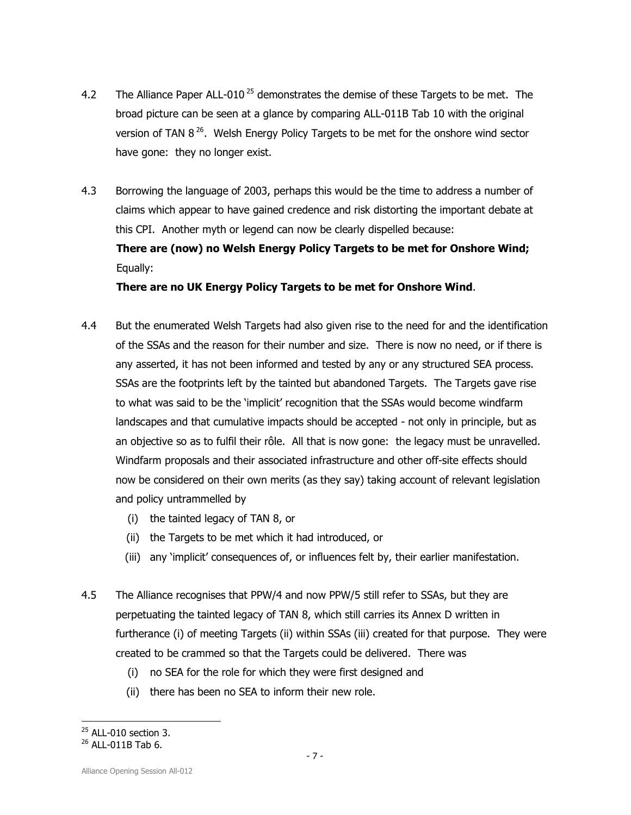- 4.2 The Alliance Paper ALL-010<sup>25</sup> demonstrates the demise of these Targets to be met. The broad picture can be seen at a glance by comparing ALL-011B Tab 10 with the original version of TAN  $8^{26}$ . Welsh Energy Policy Targets to be met for the onshore wind sector have gone: they no longer exist.
- 4.3 Borrowing the language of 2003, perhaps this would be the time to address a number of claims which appear to have gained credence and risk distorting the important debate at this CPI. Another myth or legend can now be clearly dispelled because: There are (now) no Welsh Energy Policy Targets to be met for Onshore Wind;

Equally:

There are no UK Energy Policy Targets to be met for Onshore Wind.

- 4.4 But the enumerated Welsh Targets had also given rise to the need for and the identification of the SSAs and the reason for their number and size. There is now no need, or if there is any asserted, it has not been informed and tested by any or any structured SEA process. SSAs are the footprints left by the tainted but abandoned Targets. The Targets gave rise to what was said to be the 'implicit' recognition that the SSAs would become windfarm landscapes and that cumulative impacts should be accepted - not only in principle, but as an objective so as to fulfil their rôle. All that is now gone: the legacy must be unravelled. Windfarm proposals and their associated infrastructure and other off-site effects should now be considered on their own merits (as they say) taking account of relevant legislation and policy untrammelled by
	- (i) the tainted legacy of TAN 8, or
	- (ii) the Targets to be met which it had introduced, or
	- (iii) any 'implicit' consequences of, or influences felt by, their earlier manifestation.
- 4.5 The Alliance recognises that PPW/4 and now PPW/5 still refer to SSAs, but they are perpetuating the tainted legacy of TAN 8, which still carries its Annex D written in furtherance (i) of meeting Targets (ii) within SSAs (iii) created for that purpose. They were created to be crammed so that the Targets could be delivered. There was
	- (i) no SEA for the role for which they were first designed and
	- (ii) there has been no SEA to inform their new role.

<sup>1</sup>  $25$  ALL-010 section 3.

 $^{26}$  ALL-011B Tab 6.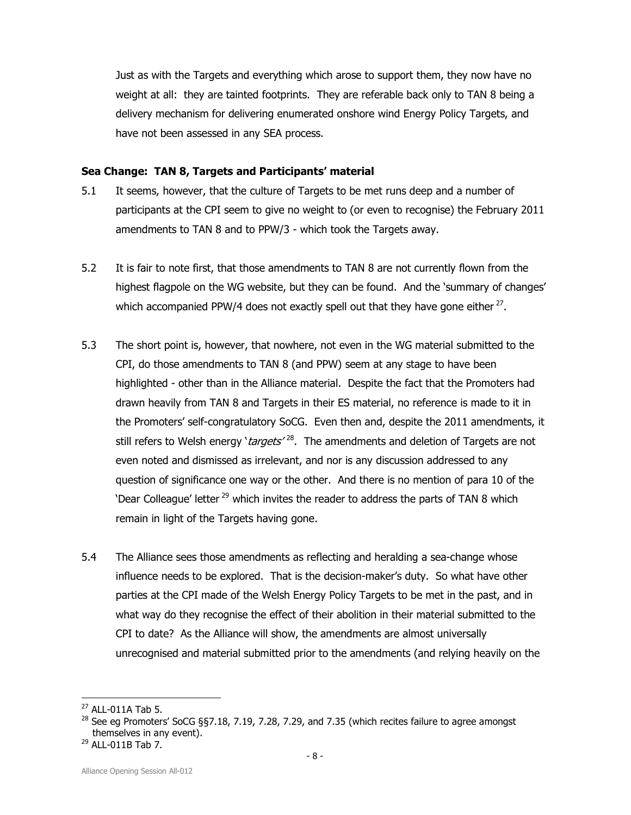Just as with the Targets and everything which arose to support them, they now have no weight at all: they are tainted footprints. They are referable back only to TAN 8 being a delivery mechanism for delivering enumerated onshore wind Energy Policy Targets, and have not been assessed in any SEA process.

#### Sea Change: TAN 8, Targets and Participants' material

- 5.1 It seems, however, that the culture of Targets to be met runs deep and a number of participants at the CPI seem to give no weight to (or even to recognise) the February 2011 amendments to TAN 8 and to PPW/3 - which took the Targets away.
- 5.2 It is fair to note first, that those amendments to TAN 8 are not currently flown from the highest flagpole on the WG website, but they can be found. And the 'summary of changes' which accompanied PPW/4 does not exactly spell out that they have gone either  $^{27}$ .
- 5.3 The short point is, however, that nowhere, not even in the WG material submitted to the CPI, do those amendments to TAN 8 (and PPW) seem at any stage to have been highlighted - other than in the Alliance material. Despite the fact that the Promoters had drawn heavily from TAN 8 and Targets in their ES material, no reference is made to it in the Promoters' self-congratulatory SoCG. Even then and, despite the 2011 amendments, it still refers to Welsh energy '*targets'* <sup>28</sup>. The amendments and deletion of Targets are not even noted and dismissed as irrelevant, and nor is any discussion addressed to any question of significance one way or the other. And there is no mention of para 10 of the 'Dear Colleague' letter<sup>29</sup> which invites the reader to address the parts of TAN 8 which remain in light of the Targets having gone.
- 5.4 The Alliance sees those amendments as reflecting and heralding a sea-change whose influence needs to be explored. That is the decision-maker's duty. So what have other parties at the CPI made of the Welsh Energy Policy Targets to be met in the past, and in what way do they recognise the effect of their abolition in their material submitted to the CPI to date? As the Alliance will show, the amendments are almost universally unrecognised and material submitted prior to the amendments (and relying heavily on the

<sup>27</sup> ALL-011A Tab 5.

<sup>&</sup>lt;sup>28</sup> See eg Promoters' SoCG §§7.18, 7.19, 7.28, 7.29, and 7.35 (which recites failure to agree amongst themselves in any event).

<sup>29</sup> ALL-011B Tab 7.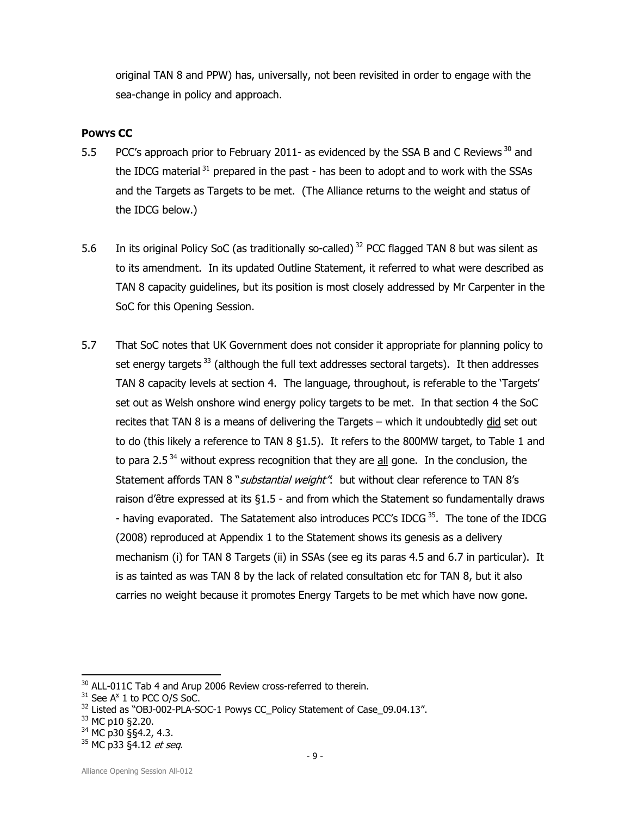original TAN 8 and PPW) has, universally, not been revisited in order to engage with the sea-change in policy and approach.

## POWYS CC

- 5.5 PCC's approach prior to February 2011- as evidenced by the SSA B and C Reviews<sup>30</sup> and the IDCG material  $31$  prepared in the past - has been to adopt and to work with the SSAs and the Targets as Targets to be met. (The Alliance returns to the weight and status of the IDCG below.)
- 5.6 In its original Policy SoC (as traditionally so-called)<sup>32</sup> PCC flagged TAN 8 but was silent as to its amendment. In its updated Outline Statement, it referred to what were described as TAN 8 capacity guidelines, but its position is most closely addressed by Mr Carpenter in the SoC for this Opening Session.
- 5.7 That SoC notes that UK Government does not consider it appropriate for planning policy to set energy targets<sup>33</sup> (although the full text addresses sectoral targets). It then addresses TAN 8 capacity levels at section 4. The language, throughout, is referable to the 'Targets' set out as Welsh onshore wind energy policy targets to be met. In that section 4 the SoC recites that TAN 8 is a means of delivering the Targets – which it undoubtedly did set out to do (this likely a reference to TAN 8 §1.5). It refers to the 800MW target, to Table 1 and to para 2.5 $34$  without express recognition that they are  $all$  gone. In the conclusion, the Statement affords TAN 8 "*substantial weight*": but without clear reference to TAN 8's raison d'être expressed at its §1.5 - and from which the Statement so fundamentally draws - having evaporated. The Satatement also introduces PCC's IDCG<sup>35</sup>. The tone of the IDCG (2008) reproduced at Appendix 1 to the Statement shows its genesis as a delivery mechanism (i) for TAN 8 Targets (ii) in SSAs (see eg its paras 4.5 and 6.7 in particular). It is as tainted as was TAN 8 by the lack of related consultation etc for TAN 8, but it also carries no weight because it promotes Energy Targets to be met which have now gone.

<sup>33</sup> MC p10 §2.20.

1

 $30$  ALL-011C Tab 4 and Arup 2006 Review cross-referred to therein.

 $31$  See A<sup>x</sup> 1 to PCC O/S SoC.

<sup>&</sup>lt;sup>32</sup> Listed as "OBJ-002-PLA-SOC-1 Powys CC\_Policy Statement of Case\_09.04.13".

<sup>34</sup> MC p30 §§4.2, 4.3.

<sup>35</sup> MC p33 §4.12 et seq.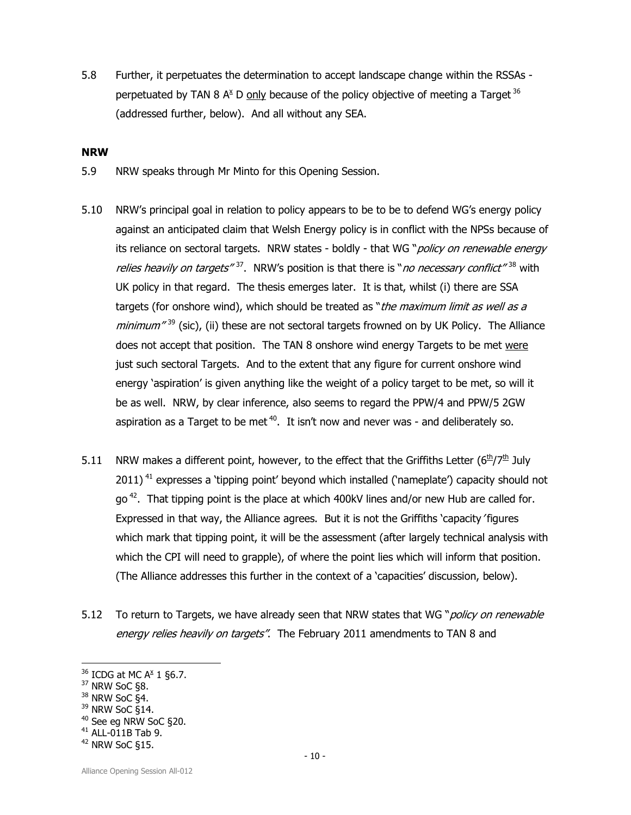5.8 Further, it perpetuates the determination to accept landscape change within the RSSAs perpetuated by TAN 8 A<sup>x</sup> D only because of the policy objective of meeting a Target <sup>36</sup> (addressed further, below). And all without any SEA.

#### NRW

- 5.9 NRW speaks through Mr Minto for this Opening Session.
- 5.10 NRW's principal goal in relation to policy appears to be to be to defend WG's energy policy against an anticipated claim that Welsh Energy policy is in conflict with the NPSs because of its reliance on sectoral targets. NRW states - boldly - that WG "policy on renewable energy relies heavily on targets"<sup>37</sup>. NRW's position is that there is "no necessary conflict"<sup>38</sup> with UK policy in that regard. The thesis emerges later. It is that, whilst (i) there are SSA targets (for onshore wind), which should be treated as "the maximum limit as well as a minimum<sup>"39</sup> (sic), (ii) these are not sectoral targets frowned on by UK Policy. The Alliance does not accept that position. The TAN 8 onshore wind energy Targets to be met were just such sectoral Targets. And to the extent that any figure for current onshore wind energy 'aspiration' is given anything like the weight of a policy target to be met, so will it be as well. NRW, by clear inference, also seems to regard the PPW/4 and PPW/5 2GW aspiration as a Target to be met  $40$ . It isn't now and never was - and deliberately so.
- 5.11 NRW makes a different point, however, to the effect that the Griffiths Letter ( $6<sup>th</sup>/7<sup>th</sup>$  July  $2011$ <sup>41</sup> expresses a 'tipping point' beyond which installed ('nameplate') capacity should not go<sup>42</sup>. That tipping point is the place at which 400kV lines and/or new Hub are called for. Expressed in that way, the Alliance agrees. But it is not the Griffiths 'capacity' figures which mark that tipping point, it will be the assessment (after largely technical analysis with which the CPI will need to grapple), of where the point lies which will inform that position. (The Alliance addresses this further in the context of a 'capacities' discussion, below).
- 5.12 To return to Targets, we have already seen that NRW states that WG "*policy on renewable* energy relies heavily on targets". The February 2011 amendments to TAN 8 and

l

<sup>40</sup> See eg NRW SoC §20.

 $36$  ICDG at MC A $\text{\AA}$  1 §6.7.

 $37$  NRW SoC §8.

<sup>38</sup> NRW SoC §4.

<sup>&</sup>lt;sup>39</sup> NRW SoC §14.

 $41$  ALL-011B Tab 9.

 $42$  NRW SoC  $$15$ .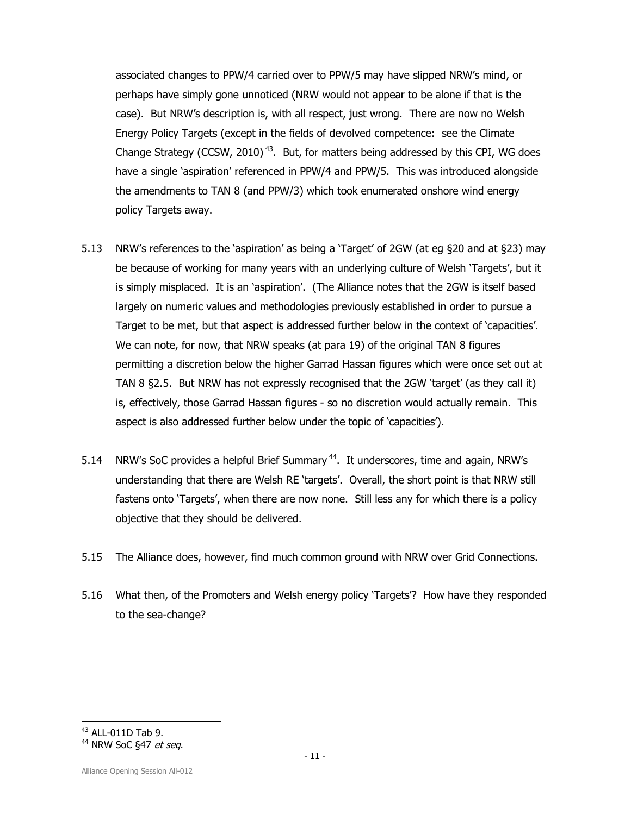associated changes to PPW/4 carried over to PPW/5 may have slipped NRW's mind, or perhaps have simply gone unnoticed (NRW would not appear to be alone if that is the case). But NRW's description is, with all respect, just wrong. There are now no Welsh Energy Policy Targets (except in the fields of devolved competence: see the Climate Change Strategy (CCSW, 2010)<sup>43</sup>. But, for matters being addressed by this CPI, WG does have a single 'aspiration' referenced in PPW/4 and PPW/5. This was introduced alongside the amendments to TAN 8 (and PPW/3) which took enumerated onshore wind energy policy Targets away.

- 5.13 NRW's references to the 'aspiration' as being a 'Target' of 2GW (at eg §20 and at §23) may be because of working for many years with an underlying culture of Welsh 'Targets', but it is simply misplaced. It is an 'aspiration'. (The Alliance notes that the 2GW is itself based largely on numeric values and methodologies previously established in order to pursue a Target to be met, but that aspect is addressed further below in the context of 'capacities'. We can note, for now, that NRW speaks (at para 19) of the original TAN 8 figures permitting a discretion below the higher Garrad Hassan figures which were once set out at TAN 8 §2.5. But NRW has not expressly recognised that the 2GW 'target' (as they call it) is, effectively, those Garrad Hassan figures - so no discretion would actually remain. This aspect is also addressed further below under the topic of 'capacities').
- 5.14 NRW's SoC provides a helpful Brief Summary<sup>44</sup>. It underscores, time and again, NRW's understanding that there are Welsh RE 'targets'. Overall, the short point is that NRW still fastens onto 'Targets', when there are now none. Still less any for which there is a policy objective that they should be delivered.
- 5.15 The Alliance does, however, find much common ground with NRW over Grid Connections.
- 5.16 What then, of the Promoters and Welsh energy policy 'Targets'? How have they responded to the sea-change?

<sup>1</sup> <sup>43</sup> ALL-011D Tab 9.

<sup>44</sup> NRW SoC §47 et seq.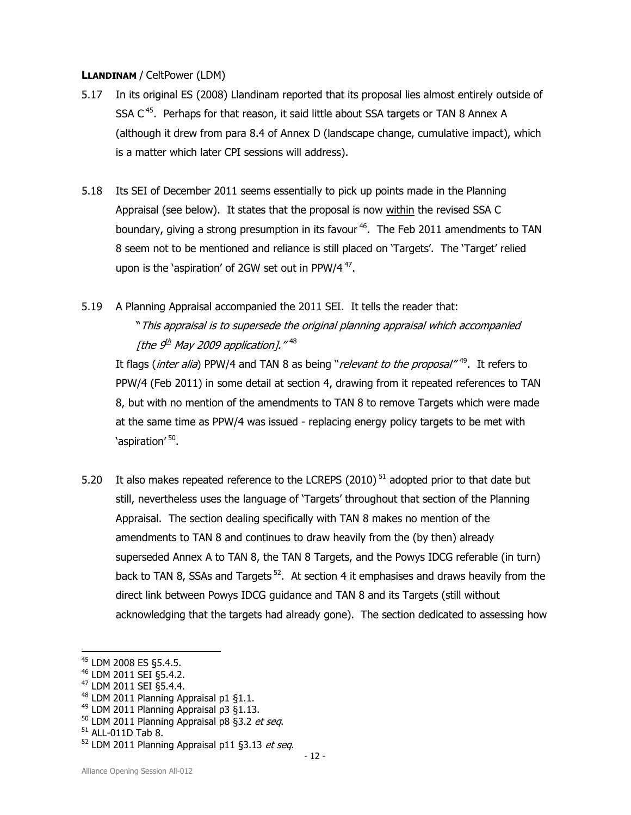#### LLANDINAM / CeltPower (LDM)

- 5.17 In its original ES (2008) Llandinam reported that its proposal lies almost entirely outside of SSA  $C^{45}$ . Perhaps for that reason, it said little about SSA targets or TAN 8 Annex A (although it drew from para 8.4 of Annex D (landscape change, cumulative impact), which is a matter which later CPI sessions will address).
- 5.18 Its SEI of December 2011 seems essentially to pick up points made in the Planning Appraisal (see below). It states that the proposal is now within the revised SSA C boundary, giving a strong presumption in its favour  $46$ . The Feb 2011 amendments to TAN 8 seem not to be mentioned and reliance is still placed on 'Targets'. The 'Target' relied upon is the 'aspiration' of 2GW set out in PPW/4 $47$ .
- 5.19 A Planning Appraisal accompanied the 2011 SEI. It tells the reader that: "This appraisal is to supersede the original planning appraisal which accompanied [the 9<sup>th</sup> May 2009 application]." <sup>48</sup>

It flags (*inter alia*) PPW/4 and TAN 8 as being "relevant to the proposal"<sup>49</sup>. It refers to PPW/4 (Feb 2011) in some detail at section 4, drawing from it repeated references to TAN 8, but with no mention of the amendments to TAN 8 to remove Targets which were made at the same time as PPW/4 was issued - replacing energy policy targets to be met with 'aspiration' <sup>50</sup>.

5.20 It also makes repeated reference to the LCREPS (2010)<sup>51</sup> adopted prior to that date but still, nevertheless uses the language of 'Targets' throughout that section of the Planning Appraisal. The section dealing specifically with TAN 8 makes no mention of the amendments to TAN 8 and continues to draw heavily from the (by then) already superseded Annex A to TAN 8, the TAN 8 Targets, and the Powys IDCG referable (in turn) back to TAN 8, SSAs and Targets<sup>52</sup>. At section 4 it emphasises and draws heavily from the direct link between Powys IDCG guidance and TAN 8 and its Targets (still without acknowledging that the targets had already gone). The section dedicated to assessing how

l

<sup>48</sup> LDM 2011 Planning Appraisal p1 §1.1.

<sup>45</sup> LDM 2008 ES §5.4.5.

<sup>46</sup> LDM 2011 SEI §5.4.2.

<sup>47</sup> LDM 2011 SEI §5.4.4.

<sup>49</sup> LDM 2011 Planning Appraisal p3 §1.13.

 $50$  LDM 2011 Planning Appraisal p8 §3.2 et seq.

 $51$  ALL-011D Tab 8.

 $52$  LDM 2011 Planning Appraisal p11 §3.13 et seq.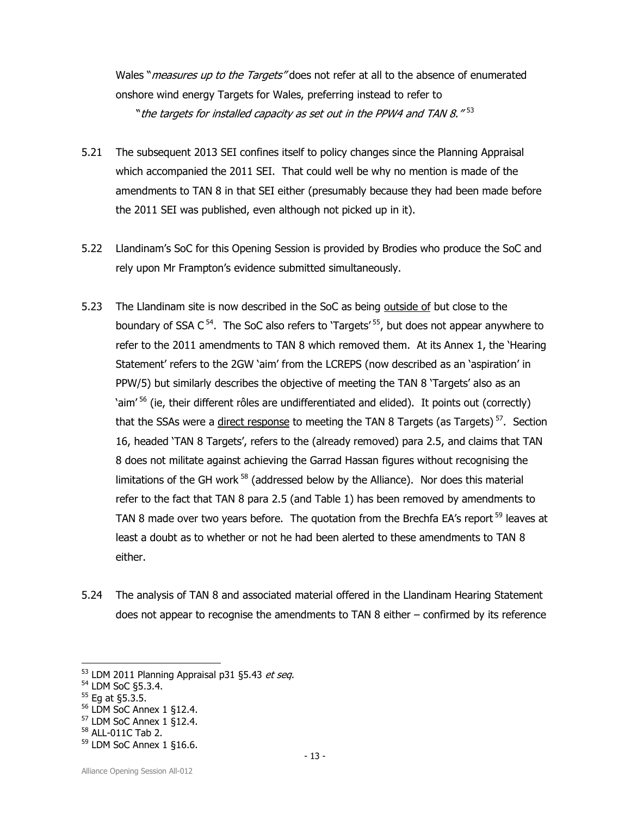Wales "*measures up to the Targets*" does not refer at all to the absence of enumerated onshore wind energy Targets for Wales, preferring instead to refer to "the targets for installed capacity as set out in the PPW4 and TAN 8."  $^{\rm 53}$ 

- 5.21 The subsequent 2013 SEI confines itself to policy changes since the Planning Appraisal which accompanied the 2011 SEI. That could well be why no mention is made of the amendments to TAN 8 in that SEI either (presumably because they had been made before the 2011 SEI was published, even although not picked up in it).
- 5.22 Llandinam's SoC for this Opening Session is provided by Brodies who produce the SoC and rely upon Mr Frampton's evidence submitted simultaneously.
- 5.23 The Llandinam site is now described in the SoC as being outside of but close to the boundary of SSA  $C^{54}$ . The SoC also refers to 'Targets'  $55$ , but does not appear anywhere to refer to the 2011 amendments to TAN 8 which removed them. At its Annex 1, the 'Hearing Statement' refers to the 2GW 'aim' from the LCREPS (now described as an 'aspiration' in PPW/5) but similarly describes the objective of meeting the TAN 8 'Targets' also as an 'aim<sup>'56</sup> (ie, their different rôles are undifferentiated and elided). It points out (correctly) that the SSAs were a *direct response* to meeting the TAN 8 Targets (as Targets)<sup>57</sup>. Section 16, headed 'TAN 8 Targets', refers to the (already removed) para 2.5, and claims that TAN 8 does not militate against achieving the Garrad Hassan figures without recognising the limitations of the GH work $58$  (addressed below by the Alliance). Nor does this material refer to the fact that TAN 8 para 2.5 (and Table 1) has been removed by amendments to TAN 8 made over two years before. The quotation from the Brechfa EA's report  $59$  leaves at least a doubt as to whether or not he had been alerted to these amendments to TAN 8 either.
- 5.24 The analysis of TAN 8 and associated material offered in the Llandinam Hearing Statement does not appear to recognise the amendments to TAN 8 either – confirmed by its reference

l

<sup>57</sup> LDM SoC Annex 1 §12.4.

 $53$  LDM 2011 Planning Appraisal p31 §5.43 et seq.

<sup>54</sup> LDM SoC §5.3.4.

<sup>55</sup> Eg at §5.3.5.

<sup>56</sup> LDM SoC Annex 1 §12.4.

<sup>58</sup> ALL-011C Tab 2.

<sup>59</sup> LDM SoC Annex 1 §16.6.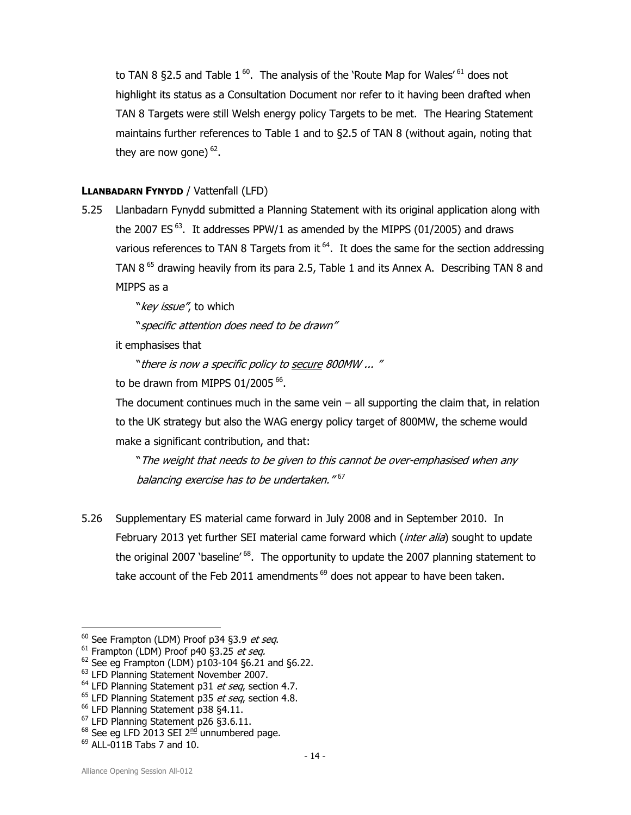to TAN 8 §2.5 and Table  $1^{60}$ . The analysis of the 'Route Map for Wales'<sup>61</sup> does not highlight its status as a Consultation Document nor refer to it having been drafted when TAN 8 Targets were still Welsh energy policy Targets to be met. The Hearing Statement maintains further references to Table 1 and to §2.5 of TAN 8 (without again, noting that they are now gone)  $^{62}$ .

## LLANBADARN FYNYDD / Vattenfall (LFD)

5.25 Llanbadarn Fynydd submitted a Planning Statement with its original application along with the 2007 ES<sup>63</sup>. It addresses PPW/1 as amended by the MIPPS (01/2005) and draws various references to TAN 8 Targets from it  $64$ . It does the same for the section addressing TAN  $8^{65}$  drawing heavily from its para 2.5, Table 1 and its Annex A. Describing TAN 8 and MIPPS as a

"key issue", to which

"specific attention does need to be drawn"

it emphasises that

"there is now a specific policy to secure 800MW ... "

to be drawn from MIPPS 01/2005  $^{66}$ .

The document continues much in the same vein  $-$  all supporting the claim that, in relation to the UK strategy but also the WAG energy policy target of 800MW, the scheme would make a significant contribution, and that:

"The weight that needs to be given to this cannot be over-emphasised when any balancing exercise has to be undertaken." <sup>67</sup>

5.26 Supplementary ES material came forward in July 2008 and in September 2010. In February 2013 yet further SEI material came forward which (inter alia) sought to update the original 2007 'baseline'<sup>68</sup>. The opportunity to update the 2007 planning statement to take account of the Feb 2011 amendments<sup>69</sup> does not appear to have been taken.

1

 $60$  See Frampton (LDM) Proof p34 §3.9 et seq.

 $61$  Frampton (LDM) Proof p40 §3.25 et seq.

 $62$  See eg Frampton (LDM) p103-104 §6.21 and §6.22.

<sup>63</sup> LFD Planning Statement November 2007.

 $64$  LFD Planning Statement p31 et seq, section 4.7.

 $65$  LFD Planning Statement p35 et seq, section 4.8.

<sup>&</sup>lt;sup>66</sup> LFD Planning Statement p38 §4.11.

<sup>67</sup> LFD Planning Statement p26 §3.6.11.

 $68$  See eg LFD 2013 SEI 2 $nd$  unnumbered page.

 $69$  ALL-011B Tabs 7 and 10.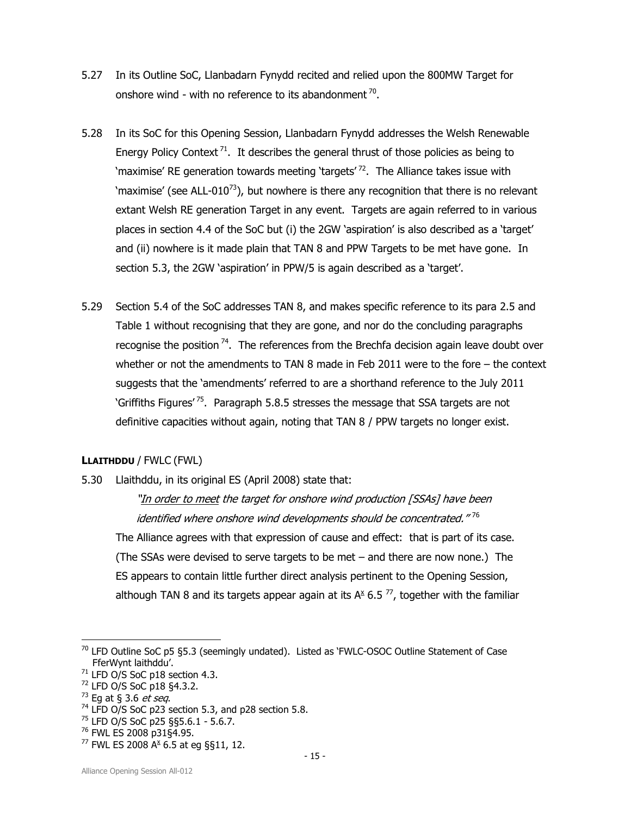- 5.27 In its Outline SoC, Llanbadarn Fynydd recited and relied upon the 800MW Target for onshore wind - with no reference to its abandonment  $^{70}$ .
- 5.28 In its SoC for this Opening Session, Llanbadarn Fynydd addresses the Welsh Renewable Energy Policy Context<sup>71</sup>. It describes the general thrust of those policies as being to 'maximise' RE generation towards meeting 'targets'<sup>72</sup>. The Alliance takes issue with 'maximise' (see ALL-010<sup>73</sup>), but nowhere is there any recognition that there is no relevant extant Welsh RE generation Target in any event. Targets are again referred to in various places in section 4.4 of the SoC but (i) the 2GW 'aspiration' is also described as a 'target' and (ii) nowhere is it made plain that TAN 8 and PPW Targets to be met have gone. In section 5.3, the 2GW 'aspiration' in PPW/5 is again described as a 'target'.
- 5.29 Section 5.4 of the SoC addresses TAN 8, and makes specific reference to its para 2.5 and Table 1 without recognising that they are gone, and nor do the concluding paragraphs recognise the position<sup>74</sup>. The references from the Brechfa decision again leave doubt over whether or not the amendments to TAN 8 made in Feb 2011 were to the fore – the context suggests that the 'amendments' referred to are a shorthand reference to the July 2011 'Griffiths Figures'<sup>75</sup>. Paragraph 5.8.5 stresses the message that SSA targets are not definitive capacities without again, noting that TAN 8 / PPW targets no longer exist.

#### LLAITHDDU / FWLC (FWL)

5.30 Llaithddu, in its original ES (April 2008) state that:

"In order to meet the target for onshore wind production [SSAs] have been identified where onshore wind developments should be concentrated." <sup>76</sup> The Alliance agrees with that expression of cause and effect: that is part of its case. (The SSAs were devised to serve targets to be met – and there are now none.) The ES appears to contain little further direct analysis pertinent to the Opening Session, although TAN 8 and its targets appear again at its  $A^{\times}$  6.5  $^{77}$ , together with the familiar

 $70$  LFD Outline SoC p5 §5.3 (seemingly undated). Listed as 'FWLC-OSOC Outline Statement of Case FferWynt laithddu'.

<sup>71</sup> LFD O/S SoC p18 section 4.3.

<sup>72</sup> LFD O/S SoC p18 §4.3.2.

 $73$  Eq at § 3.6 *et seq*.

 $74$  LFD O/S SoC p23 section 5.3, and p28 section 5.8.

<sup>75</sup> LFD O/S SoC p25 §§5.6.1 - 5.6.7.

<sup>76</sup> FWL ES 2008 p31§4.95.

 $^{77}$  FWL ES 2008 A<sup>x</sup> 6.5 at eg §§11, 12.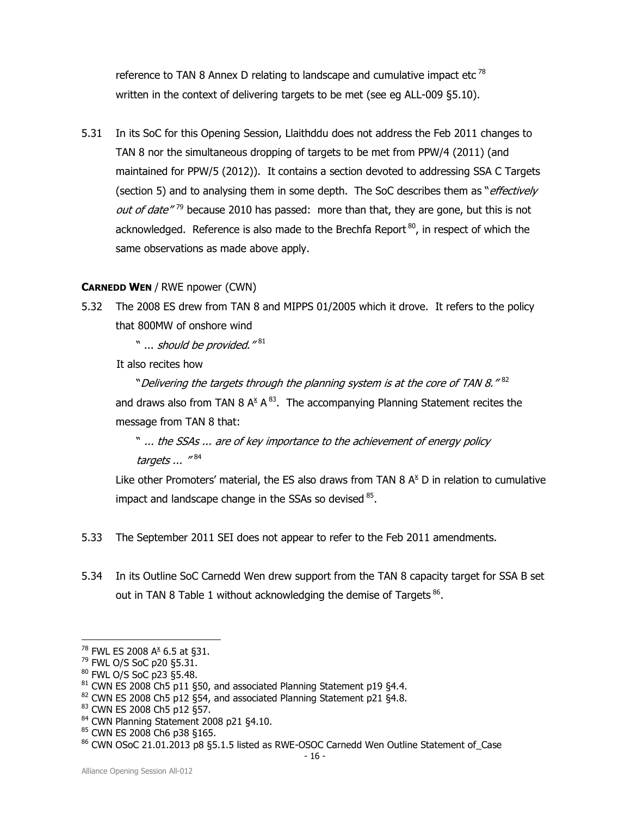reference to TAN 8 Annex D relating to landscape and cumulative impact etc<sup>78</sup> written in the context of delivering targets to be met (see eg ALL-009 §5.10).

5.31 In its SoC for this Opening Session, Llaithddu does not address the Feb 2011 changes to TAN 8 nor the simultaneous dropping of targets to be met from PPW/4 (2011) (and maintained for PPW/5 (2012)). It contains a section devoted to addressing SSA C Targets (section 5) and to analysing them in some depth. The SoC describes them as "*effectively* out of date"<sup>79</sup> because 2010 has passed: more than that, they are gone, but this is not acknowledged. Reference is also made to the Brechfa Report<sup>80</sup>, in respect of which the same observations as made above apply.

#### CARNEDD WEN / RWE npower (CWN)

5.32 The 2008 ES drew from TAN 8 and MIPPS 01/2005 which it drove. It refers to the policy that 800MW of onshore wind

" … *should be provided."* <sup>81</sup>

It also recites how

"Delivering the targets through the planning system is at the core of TAN 8." $^{\rm 82}$ and draws also from TAN 8  $A^{\underline{x}} A^{\underline{83}}$ . The accompanying Planning Statement recites the message from TAN 8 that:

" ... the SSAs ... are of key importance to the achievement of energy policy targets ... "<sup>84</sup>

Like other Promoters' material, the ES also draws from TAN 8  $A^x$  D in relation to cumulative impact and landscape change in the SSAs so devised  $85$ .

- 5.33 The September 2011 SEI does not appear to refer to the Feb 2011 amendments.
- 5.34 In its Outline SoC Carnedd Wen drew support from the TAN 8 capacity target for SSA B set out in TAN 8 Table 1 without acknowledging the demise of Targets  $^{86}$ .

 $^{78}$  FWL ES 2008 A<sup>x</sup> 6.5 at §31.

<sup>79</sup> FWL O/S SoC p20 §5.31.

<sup>80</sup> FWL O/S SoC p23 §5.48.

 $81$  CWN ES 2008 Ch5 p11 §50, and associated Planning Statement p19 §4.4.

<sup>82</sup> CWN ES 2008 Ch5 p12 §54, and associated Planning Statement p21 §4.8.

<sup>83</sup> CWN ES 2008 Ch5 p12 §57.

<sup>84</sup> CWN Planning Statement 2008 p21 §4.10.

<sup>85</sup> CWN ES 2008 Ch6 p38 §165.

<sup>86</sup> CWN OSoC 21.01.2013 p8 §5.1.5 listed as RWE-OSOC Carnedd Wen Outline Statement of\_Case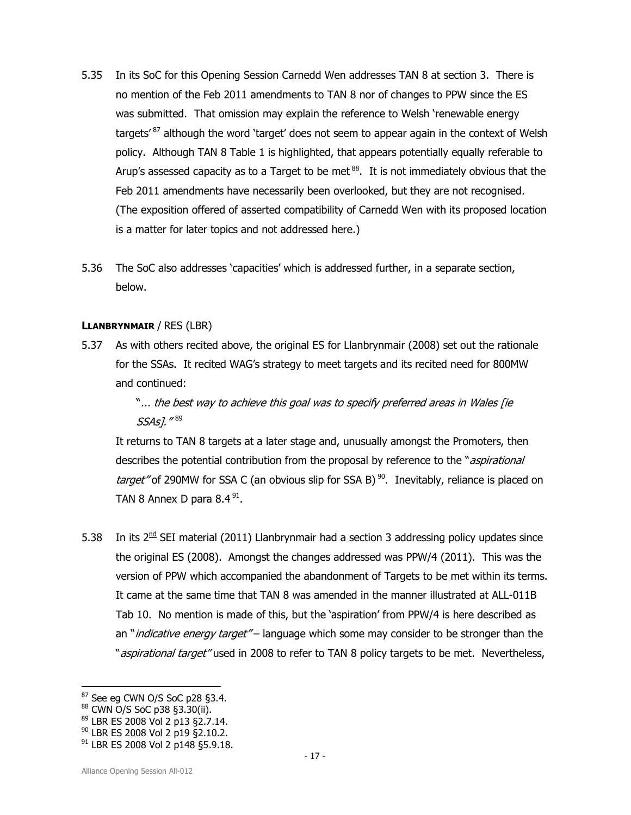- 5.35 In its SoC for this Opening Session Carnedd Wen addresses TAN 8 at section 3. There is no mention of the Feb 2011 amendments to TAN 8 nor of changes to PPW since the ES was submitted. That omission may explain the reference to Welsh 'renewable energy targets<sup>'87</sup> although the word 'target' does not seem to appear again in the context of Welsh policy. Although TAN 8 Table 1 is highlighted, that appears potentially equally referable to Arup's assessed capacity as to a Target to be met  $^{88}$ . It is not immediately obvious that the Feb 2011 amendments have necessarily been overlooked, but they are not recognised. (The exposition offered of asserted compatibility of Carnedd Wen with its proposed location is a matter for later topics and not addressed here.)
- 5.36 The SoC also addresses 'capacities' which is addressed further, in a separate section, below.

#### LLANBRYNMAIR / RES (LBR)

5.37 As with others recited above, the original ES for Llanbrynmair (2008) set out the rationale for the SSAs. It recited WAG's strategy to meet targets and its recited need for 800MW and continued:

> "... the best way to achieve this goal was to specify preferred areas in Wales [ie SSAs]." <sup>89</sup>

It returns to TAN 8 targets at a later stage and, unusually amongst the Promoters, then describes the potential contribution from the proposal by reference to the "*aspirational* target" of 290MW for SSA C (an obvious slip for SSA B)<sup>90</sup>. Inevitably, reliance is placed on TAN 8 Annex D para  $8.4\textsuperscript{91}.$ 

5.38 In its  $2<sup>nd</sup>$  SEI material (2011) Llanbrynmair had a section 3 addressing policy updates since the original ES (2008). Amongst the changes addressed was PPW/4 (2011). This was the version of PPW which accompanied the abandonment of Targets to be met within its terms. It came at the same time that TAN 8 was amended in the manner illustrated at ALL-011B Tab 10. No mention is made of this, but the 'aspiration' from PPW/4 is here described as an "*indicative energy target"* – language which some may consider to be stronger than the "*aspirational target"* used in 2008 to refer to TAN 8 policy targets to be met. Nevertheless,

 $87$  See eg CWN O/S SoC p28 §3.4.

<sup>88</sup> CWN O/S SoC p38 §3.30(ii).

<sup>89</sup> LBR ES 2008 Vol 2 p13 §2.7.14.

<sup>90</sup> LBR ES 2008 Vol 2 p19 §2.10.2.

 $91$  LBR ES 2008 Vol 2 p148 §5.9.18.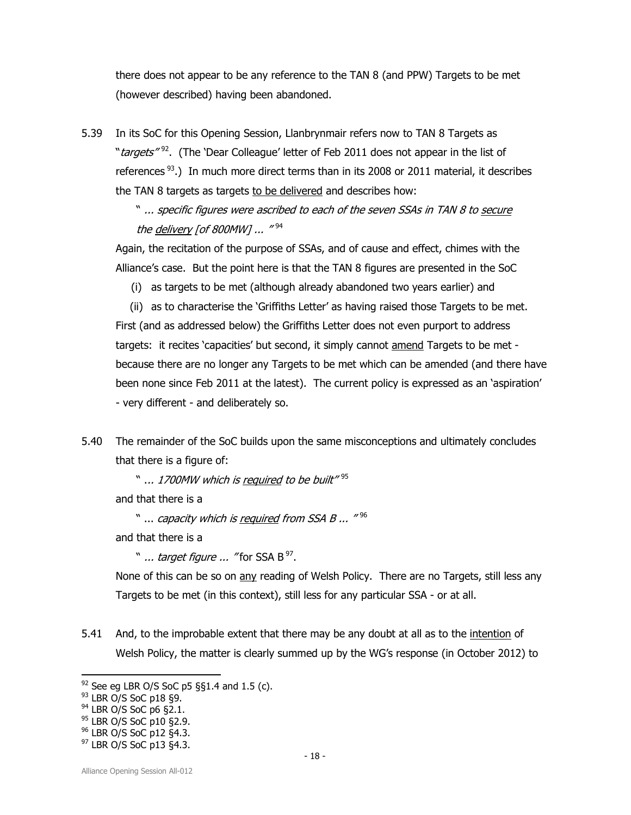there does not appear to be any reference to the TAN 8 (and PPW) Targets to be met (however described) having been abandoned.

5.39 In its SoC for this Opening Session, Llanbrynmair refers now to TAN 8 Targets as "*targets*"<sup>92</sup>. (The 'Dear Colleague' letter of Feb 2011 does not appear in the list of references<sup>93</sup>.) In much more direct terms than in its 2008 or 2011 material, it describes the TAN 8 targets as targets to be delivered and describes how:

> " ... specific figures were ascribed to each of the seven SSAs in TAN 8 to secure the <u>delivery</u> [of 800MW] ... "<sup>94</sup>

Again, the recitation of the purpose of SSAs, and of cause and effect, chimes with the Alliance's case. But the point here is that the TAN 8 figures are presented in the SoC

(i) as targets to be met (although already abandoned two years earlier) and

(ii) as to characterise the 'Griffiths Letter' as having raised those Targets to be met. First (and as addressed below) the Griffiths Letter does not even purport to address targets: it recites 'capacities' but second, it simply cannot amend Targets to be met because there are no longer any Targets to be met which can be amended (and there have been none since Feb 2011 at the latest). The current policy is expressed as an 'aspiration' - very different - and deliberately so.

5.40 The remainder of the SoC builds upon the same misconceptions and ultimately concludes that there is a figure of:

" .*.. 1700MW which is <u>required</u> to be built"* <sup>95</sup>

and that there is a

" ... capacity which is <u>required</u> from SSA B ... "<sup>96</sup>

and that there is a

" ... *target figure ... "* for SSA B<sup>97</sup>.

None of this can be so on any reading of Welsh Policy. There are no Targets, still less any Targets to be met (in this context), still less for any particular SSA - or at all.

5.41 And, to the improbable extent that there may be any doubt at all as to the intention of Welsh Policy, the matter is clearly summed up by the WG's response (in October 2012) to

1

 $92$  See eg LBR O/S SoC p5 §§1.4 and 1.5 (c).

<sup>93</sup> LBR O/S SoC p18 §9.

 $94$  LBR O/S SoC p6 §2.1.

<sup>&</sup>lt;sup>95</sup> LBR O/S SoC p10 §2.9.

<sup>96</sup> LBR O/S SoC p12 §4.3.

<sup>97</sup> LBR O/S SoC p13 §4.3.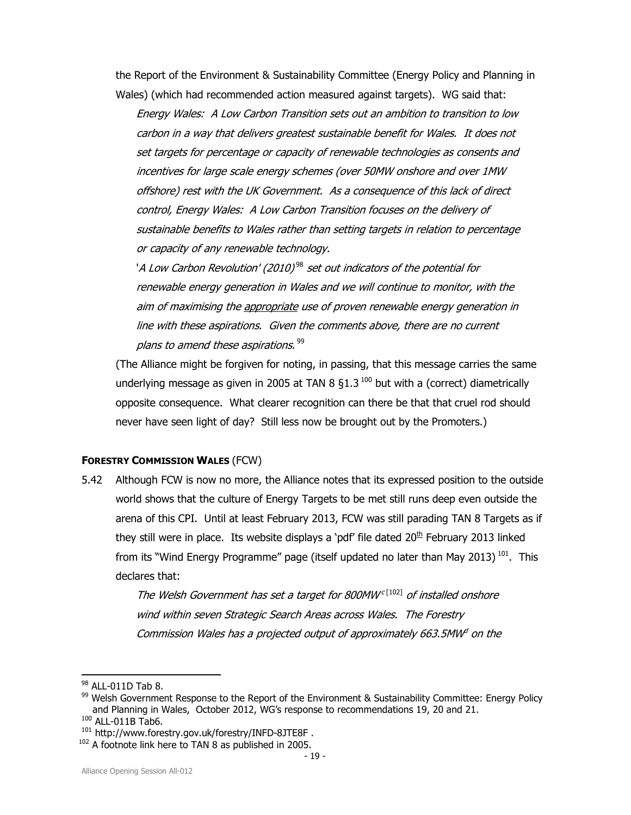the Report of the Environment & Sustainability Committee (Energy Policy and Planning in Wales) (which had recommended action measured against targets). WG said that:

Energy Wales: A Low Carbon Transition sets out an ambition to transition to low carbon in a way that delivers greatest sustainable benefit for Wales. It does not set targets for percentage or capacity of renewable technologies as consents and incentives for large scale energy schemes (over 50MW onshore and over 1MW offshore) rest with the UK Government. As a consequence of this lack of direct control, Energy Wales: A Low Carbon Transition focuses on the delivery of sustainable benefits to Wales rather than setting targets in relation to percentage or capacity of any renewable technology.

'A Low Carbon Revolution' (2010) $^\mathrm{98}$  set out indicators of the potential for renewable energy generation in Wales and we will continue to monitor, with the aim of maximising the appropriate use of proven renewable energy generation in line with these aspirations. Given the comments above, there are no current plans to amend these aspirations.  $^{99}$ 

(The Alliance might be forgiven for noting, in passing, that this message carries the same underlying message as given in 2005 at TAN 8  $\S$ 1.3<sup>100</sup> but with a (correct) diametrically opposite consequence. What clearer recognition can there be that that cruel rod should never have seen light of day? Still less now be brought out by the Promoters.)

#### FORESTRY COMMISSION WALES (FCW)

5.42 Although FCW is now no more, the Alliance notes that its expressed position to the outside world shows that the culture of Energy Targets to be met still runs deep even outside the arena of this CPI. Until at least February 2013, FCW was still parading TAN 8 Targets as if they still were in place. Its website displays a 'pdf' file dated  $20<sup>th</sup>$  February 2013 linked from its "Wind Energy Programme" page (itself updated no later than May 2013)<sup>101</sup>. This declares that:

> The Welsh Government has set a target for 800MW<sup>c[102]</sup> of installed onshore wind within seven Strategic Search Areas across Wales. The Forestry Commission Wales has a projected output of approximately 663.5MW on the

1

 $98$  ALL-011D Tab 8.

<sup>99</sup> Welsh Government Response to the Report of the Environment & Sustainability Committee: Energy Policy and Planning in Wales, October 2012, WG's response to recommendations 19, 20 and 21. <sup>100</sup> ALL-011B Tab6.

<sup>&</sup>lt;sup>101</sup> http://www.forestry.gov.uk/forestry/INFD-8JTE8F.

 $102$  A footnote link here to TAN 8 as published in 2005.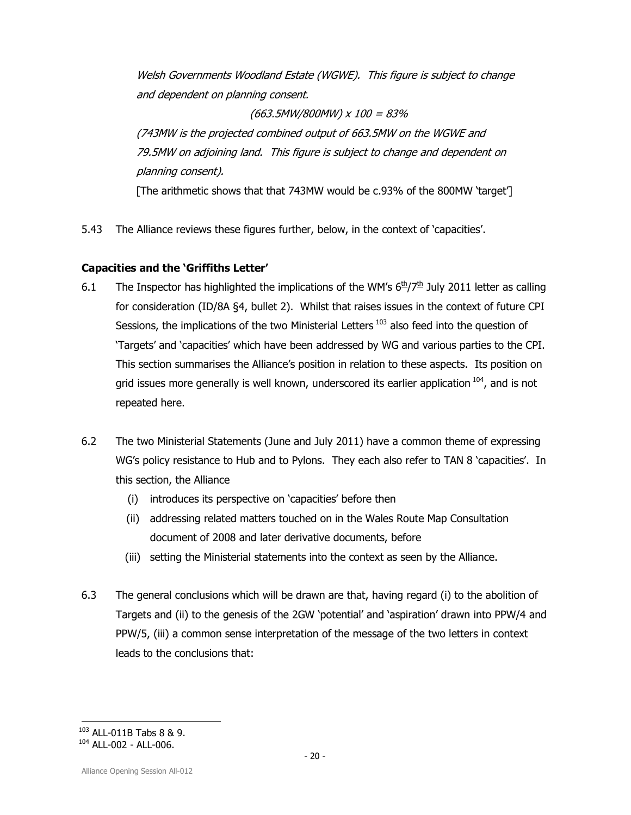Welsh Governments Woodland Estate (WGWE). This figure is subject to change and dependent on planning consent.

## (663.5MW/800MW) x 100 = 83%

(743MW is the projected combined output of 663.5MW on the WGWE and 79.5MW on adjoining land. This figure is subject to change and dependent on planning consent).

[The arithmetic shows that that 743MW would be c.93% of the 800MW 'target']

5.43 The Alliance reviews these figures further, below, in the context of 'capacities'.

## Capacities and the 'Griffiths Letter'

- 6.1 The Inspector has highlighted the implications of the WM's  $6\frac{th}{7}\frac{th}{7}\frac{th}{3}$  July 2011 letter as calling for consideration (ID/8A §4, bullet 2). Whilst that raises issues in the context of future CPI Sessions, the implications of the two Ministerial Letters<sup>103</sup> also feed into the question of 'Targets' and 'capacities' which have been addressed by WG and various parties to the CPI. This section summarises the Alliance's position in relation to these aspects. Its position on grid issues more generally is well known, underscored its earlier application  $104$ , and is not repeated here.
- 6.2 The two Ministerial Statements (June and July 2011) have a common theme of expressing WG's policy resistance to Hub and to Pylons. They each also refer to TAN 8 'capacities'. In this section, the Alliance
	- (i) introduces its perspective on 'capacities' before then
	- (ii) addressing related matters touched on in the Wales Route Map Consultation document of 2008 and later derivative documents, before
	- (iii) setting the Ministerial statements into the context as seen by the Alliance.
- 6.3 The general conclusions which will be drawn are that, having regard (i) to the abolition of Targets and (ii) to the genesis of the 2GW 'potential' and 'aspiration' drawn into PPW/4 and PPW/5, (iii) a common sense interpretation of the message of the two letters in context leads to the conclusions that:

<sup>1</sup> <sup>103</sup> ALL-011B Tabs 8 & 9.

 $104$  ALL-002 - ALL-006.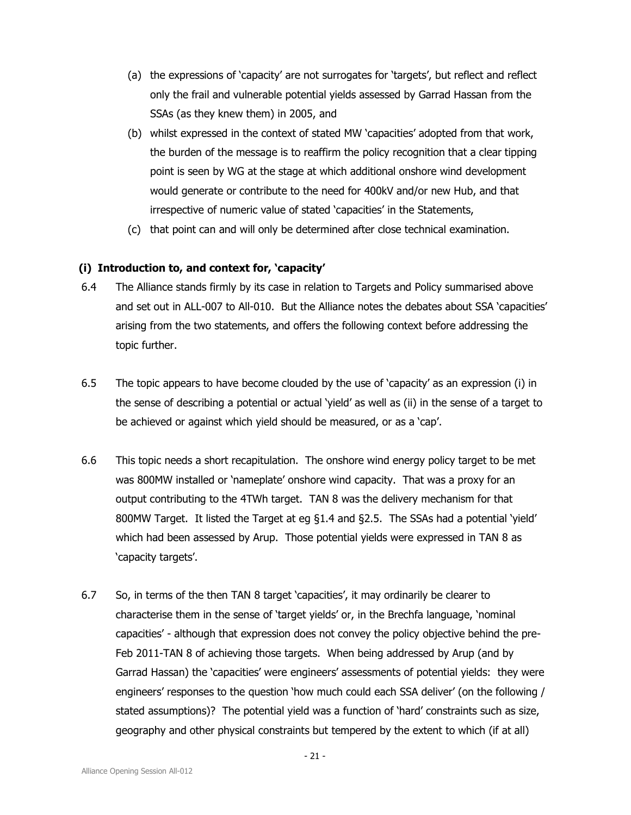- (a) the expressions of 'capacity' are not surrogates for 'targets', but reflect and reflect only the frail and vulnerable potential yields assessed by Garrad Hassan from the SSAs (as they knew them) in 2005, and
- (b) whilst expressed in the context of stated MW 'capacities' adopted from that work, the burden of the message is to reaffirm the policy recognition that a clear tipping point is seen by WG at the stage at which additional onshore wind development would generate or contribute to the need for 400kV and/or new Hub, and that irrespective of numeric value of stated 'capacities' in the Statements,
- (c) that point can and will only be determined after close technical examination.

## (i) Introduction to, and context for, 'capacity'

- 6.4 The Alliance stands firmly by its case in relation to Targets and Policy summarised above and set out in ALL-007 to All-010. But the Alliance notes the debates about SSA 'capacities' arising from the two statements, and offers the following context before addressing the topic further.
- 6.5 The topic appears to have become clouded by the use of 'capacity' as an expression (i) in the sense of describing a potential or actual 'yield' as well as (ii) in the sense of a target to be achieved or against which yield should be measured, or as a 'cap'.
- 6.6 This topic needs a short recapitulation. The onshore wind energy policy target to be met was 800MW installed or 'nameplate' onshore wind capacity. That was a proxy for an output contributing to the 4TWh target. TAN 8 was the delivery mechanism for that 800MW Target. It listed the Target at eg §1.4 and §2.5. The SSAs had a potential 'yield' which had been assessed by Arup. Those potential yields were expressed in TAN 8 as 'capacity targets'.
- 6.7 So, in terms of the then TAN 8 target 'capacities', it may ordinarily be clearer to characterise them in the sense of 'target yields' or, in the Brechfa language, 'nominal capacities' - although that expression does not convey the policy objective behind the pre-Feb 2011-TAN 8 of achieving those targets. When being addressed by Arup (and by Garrad Hassan) the 'capacities' were engineers' assessments of potential yields: they were engineers' responses to the question 'how much could each SSA deliver' (on the following / stated assumptions)? The potential yield was a function of 'hard' constraints such as size, geography and other physical constraints but tempered by the extent to which (if at all)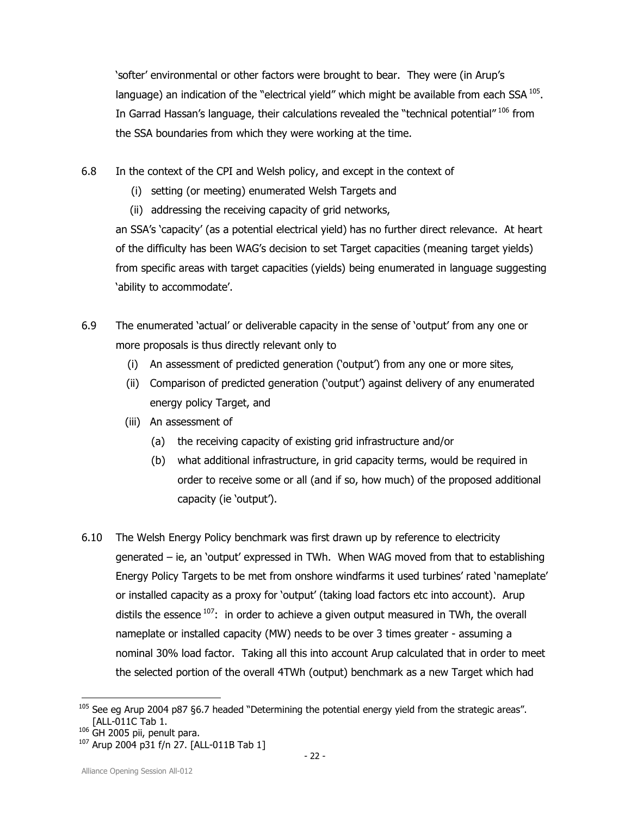'softer' environmental or other factors were brought to bear. They were (in Arup's language) an indication of the "electrical yield" which might be available from each SSA  $^{105}$ . In Garrad Hassan's language, their calculations revealed the "technical potential"<sup>106</sup> from the SSA boundaries from which they were working at the time.

6.8 In the context of the CPI and Welsh policy, and except in the context of

- (i) setting (or meeting) enumerated Welsh Targets and
- (ii) addressing the receiving capacity of grid networks,

an SSA's 'capacity' (as a potential electrical yield) has no further direct relevance. At heart of the difficulty has been WAG's decision to set Target capacities (meaning target yields) from specific areas with target capacities (yields) being enumerated in language suggesting 'ability to accommodate'.

- 6.9 The enumerated 'actual' or deliverable capacity in the sense of 'output' from any one or more proposals is thus directly relevant only to
	- (i) An assessment of predicted generation ('output') from any one or more sites,
	- (ii) Comparison of predicted generation ('output') against delivery of any enumerated energy policy Target, and
	- (iii) An assessment of
		- (a) the receiving capacity of existing grid infrastructure and/or
		- (b) what additional infrastructure, in grid capacity terms, would be required in order to receive some or all (and if so, how much) of the proposed additional capacity (ie 'output').
- 6.10 The Welsh Energy Policy benchmark was first drawn up by reference to electricity generated – ie, an 'output' expressed in TWh. When WAG moved from that to establishing Energy Policy Targets to be met from onshore windfarms it used turbines' rated 'nameplate' or installed capacity as a proxy for 'output' (taking load factors etc into account). Arup distils the essence  $107$ : in order to achieve a given output measured in TWh, the overall nameplate or installed capacity (MW) needs to be over 3 times greater - assuming a nominal 30% load factor. Taking all this into account Arup calculated that in order to meet the selected portion of the overall 4TWh (output) benchmark as a new Target which had

l <sup>105</sup> See eg Arup 2004 p87 §6.7 headed "Determining the potential energy yield from the strategic areas". [ALL-011C Tab 1.

<sup>&</sup>lt;sup>106</sup> GH 2005 pii, penult para.

<sup>107</sup> Arup 2004 p31 f/n 27. [ALL-011B Tab 1]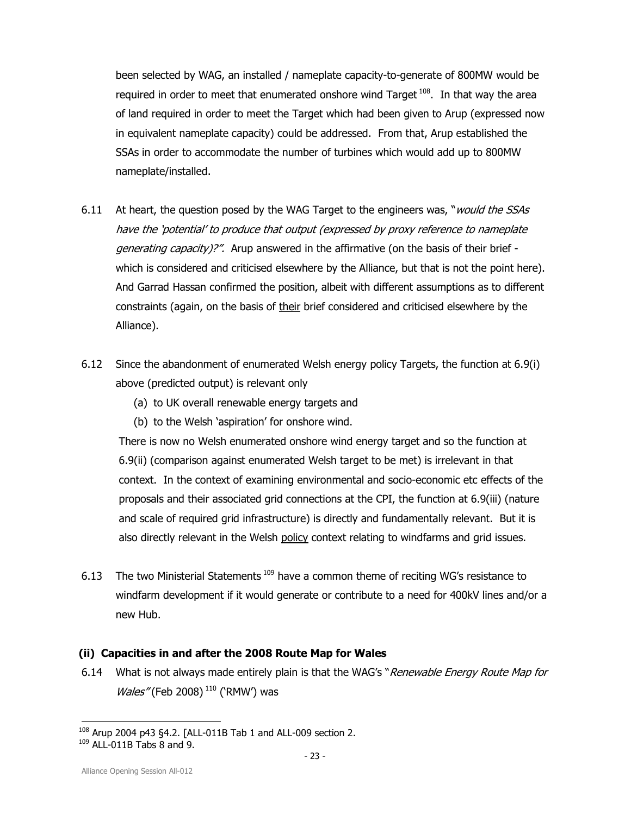been selected by WAG, an installed / nameplate capacity-to-generate of 800MW would be required in order to meet that enumerated onshore wind Target  $108$ . In that way the area of land required in order to meet the Target which had been given to Arup (expressed now in equivalent nameplate capacity) could be addressed. From that, Arup established the SSAs in order to accommodate the number of turbines which would add up to 800MW nameplate/installed.

- 6.11 At heart, the question posed by the WAG Target to the engineers was, "*would the SSAs* have the 'potential' to produce that output (expressed by proxy reference to nameplate generating capacity)?". Arup answered in the affirmative (on the basis of their brief which is considered and criticised elsewhere by the Alliance, but that is not the point here). And Garrad Hassan confirmed the position, albeit with different assumptions as to different constraints (again, on the basis of their brief considered and criticised elsewhere by the Alliance).
- 6.12 Since the abandonment of enumerated Welsh energy policy Targets, the function at 6.9(i) above (predicted output) is relevant only
	- (a) to UK overall renewable energy targets and
	- (b) to the Welsh 'aspiration' for onshore wind.

There is now no Welsh enumerated onshore wind energy target and so the function at 6.9(ii) (comparison against enumerated Welsh target to be met) is irrelevant in that context. In the context of examining environmental and socio-economic etc effects of the proposals and their associated grid connections at the CPI, the function at 6.9(iii) (nature and scale of required grid infrastructure) is directly and fundamentally relevant. But it is also directly relevant in the Welsh policy context relating to windfarms and grid issues.

6.13 The two Ministerial Statements<sup>109</sup> have a common theme of reciting WG's resistance to windfarm development if it would generate or contribute to a need for 400kV lines and/or a new Hub.

## (ii) Capacities in and after the 2008 Route Map for Wales

6.14 What is not always made entirely plain is that the WAG's "Renewable Energy Route Map for  $Wales''$  (Feb 2008)<sup>110</sup> ('RMW') was

<sup>1</sup>  $108$  Arup 2004 p43 §4.2. [ALL-011B Tab 1 and ALL-009 section 2.  $109$  ALL-011B Tabs  $\overline{8}$  and 9.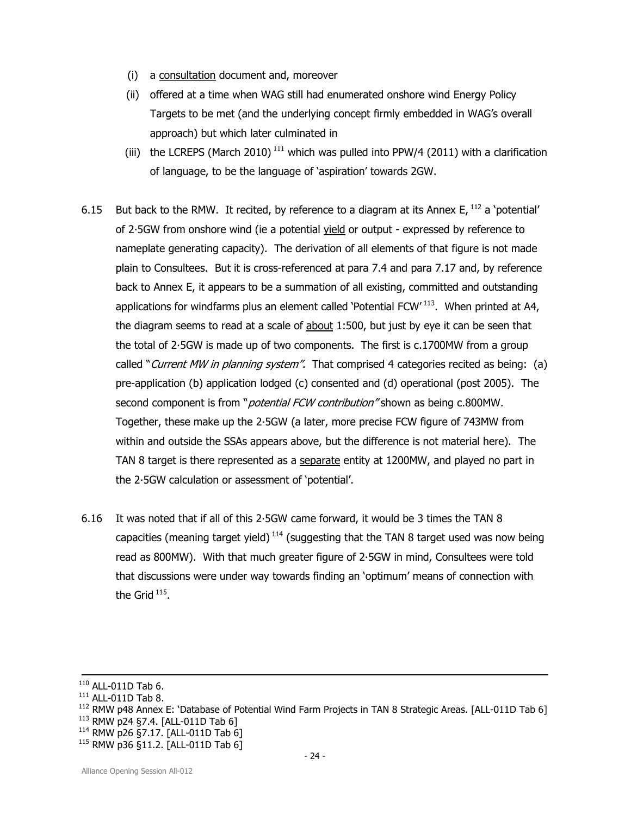- (i) a consultation document and, moreover
- (ii) offered at a time when WAG still had enumerated onshore wind Energy Policy Targets to be met (and the underlying concept firmly embedded in WAG's overall approach) but which later culminated in
- (iii) the LCREPS (March 2010)<sup>111</sup> which was pulled into PPW/4 (2011) with a clarification of language, to be the language of 'aspiration' towards 2GW.
- 6.15 But back to the RMW. It recited, by reference to a diagram at its Annex E,  $^{112}$  a 'potential' of 2·5GW from onshore wind (ie a potential yield or output - expressed by reference to nameplate generating capacity). The derivation of all elements of that figure is not made plain to Consultees. But it is cross-referenced at para 7.4 and para 7.17 and, by reference back to Annex E, it appears to be a summation of all existing, committed and outstanding applications for windfarms plus an element called 'Potential FCW'<sup>113</sup>. When printed at A4, the diagram seems to read at a scale of about 1:500, but just by eye it can be seen that the total of 2·5GW is made up of two components. The first is c.1700MW from a group called "Current MW in planning system". That comprised 4 categories recited as being: (a) pre-application (b) application lodged (c) consented and (d) operational (post 2005). The second component is from "*potential FCW contribution*" shown as being c.800MW. Together, these make up the 2·5GW (a later, more precise FCW figure of 743MW from within and outside the SSAs appears above, but the difference is not material here). The TAN 8 target is there represented as a separate entity at 1200MW, and played no part in the 2·5GW calculation or assessment of 'potential'.
- 6.16 It was noted that if all of this 2·5GW came forward, it would be 3 times the TAN 8 capacities (meaning target yield)<sup>114</sup> (suggesting that the TAN 8 target used was now being read as 800MW). With that much greater figure of 2·5GW in mind, Consultees were told that discussions were under way towards finding an 'optimum' means of connection with the Grid  $^{115}$ .

1

 $110$  ALL-011D Tab 6.

<sup>111</sup> ALL-011D Tab 8.

<sup>&</sup>lt;sup>112</sup> RMW p48 Annex E: 'Database of Potential Wind Farm Projects in TAN 8 Strategic Areas. [ALL-011D Tab 6] <sup>113</sup> RMW p24 §7.4. [ALL-011D Tab 6]

<sup>114</sup> RMW p26 §7.17. [ALL-011D Tab 6]

<sup>115</sup> RMW p36 §11.2. [ALL-011D Tab 6]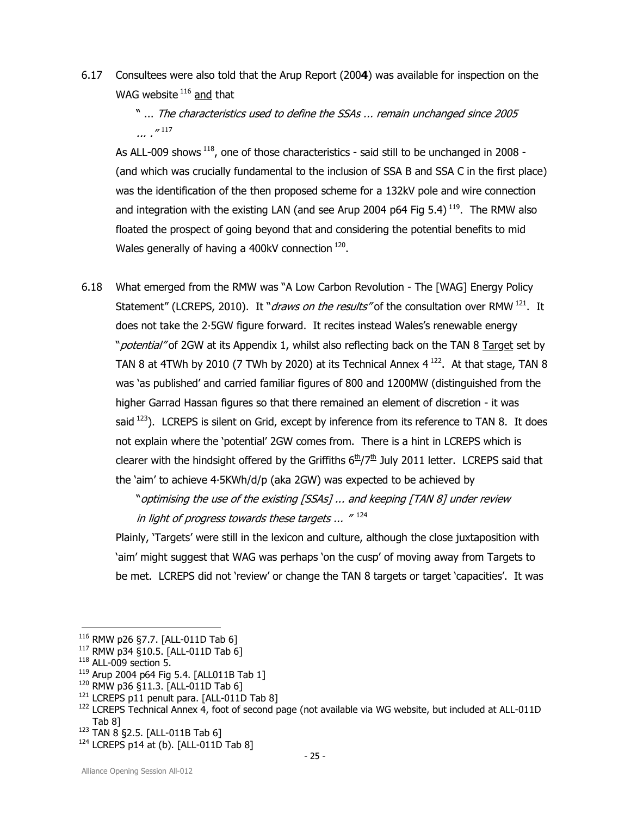6.17 Consultees were also told that the Arup Report (2004) was available for inspection on the WAG website  $116$  and that

> " ... The characteristics used to define the SSAs ... remain unchanged since 2005 ... ." 117

As ALL-009 shows  $^{118}$ , one of those characteristics - said still to be unchanged in 2008 -(and which was crucially fundamental to the inclusion of SSA B and SSA C in the first place) was the identification of the then proposed scheme for a 132kV pole and wire connection and integration with the existing LAN (and see Arup 2004 p64 Fig  $5.4$ )<sup>119</sup>. The RMW also floated the prospect of going beyond that and considering the potential benefits to mid Wales generally of having a 400kV connection  $^{120}$ .

6.18 What emerged from the RMW was "A Low Carbon Revolution - The [WAG] Energy Policy Statement" (LCREPS, 2010). It "*draws on the results*" of the consultation over RMW<sup>121</sup>. It does not take the 2·5GW figure forward. It recites instead Wales's renewable energy "*potential*" of 2GW at its Appendix 1, whilst also reflecting back on the TAN 8 Target set by TAN 8 at 4TWh by 2010 (7 TWh by 2020) at its Technical Annex  $4^{122}$ . At that stage, TAN 8 was 'as published' and carried familiar figures of 800 and 1200MW (distinguished from the higher Garrad Hassan figures so that there remained an element of discretion - it was said  $123$ ). LCREPS is silent on Grid, except by inference from its reference to TAN 8. It does not explain where the 'potential' 2GW comes from. There is a hint in LCREPS which is clearer with the hindsight offered by the Griffiths  $6<sup>th</sup>/7<sup>th</sup>$  July 2011 letter. LCREPS said that the 'aim' to achieve 4·5KWh/d/p (aka 2GW) was expected to be achieved by

> "optimising the use of the existing [SSAs] ... and keeping [TAN 8] under review in light of progress towards these targets ...  $^{\prime\prime}$   $^{124}$

Plainly, 'Targets' were still in the lexicon and culture, although the close juxtaposition with 'aim' might suggest that WAG was perhaps 'on the cusp' of moving away from Targets to be met. LCREPS did not 'review' or change the TAN 8 targets or target 'capacities'. It was

1

<sup>116</sup> RMW p26 §7.7. [ALL-011D Tab 6]

<sup>117</sup> RMW p34 §10.5. [ALL-011D Tab 6]

 $118$  ALL-009 section 5.

<sup>119</sup> Arup 2004 p64 Fig 5.4. [ALL011B Tab 1]

<sup>&</sup>lt;sup>120</sup> RMW p36 §11.3. [ALL-011D Tab 6]

<sup>&</sup>lt;sup>121</sup> LCREPS p11 penult para. [ALL-011D Tab 8]

<sup>&</sup>lt;sup>122</sup> LCREPS Technical Annex 4, foot of second page (not available via WG website, but included at ALL-011D Tab 8]

<sup>123</sup> TAN 8 §2.5. [ALL-011B Tab 6]

 $124$  LCREPS p14 at (b). [ALL-011D Tab 8]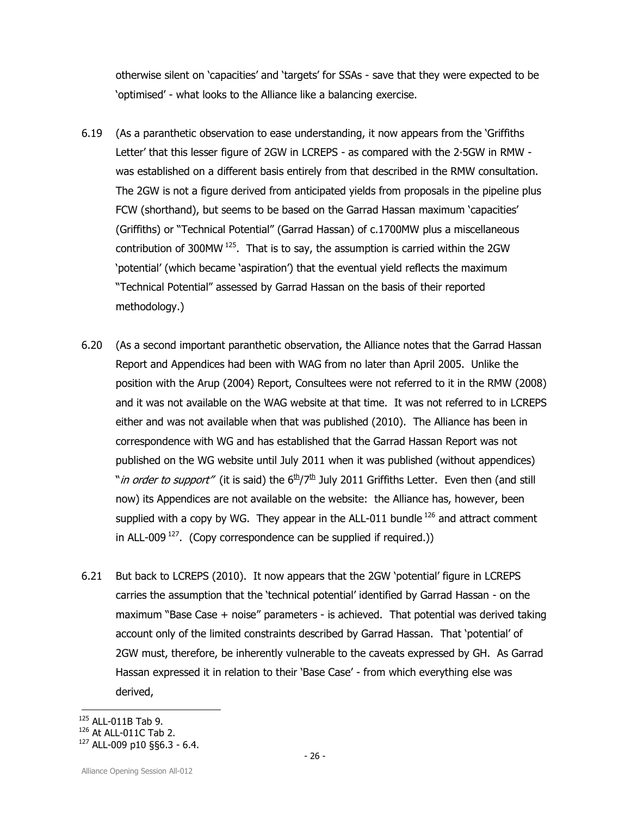otherwise silent on 'capacities' and 'targets' for SSAs - save that they were expected to be 'optimised' - what looks to the Alliance like a balancing exercise.

- 6.19 (As a paranthetic observation to ease understanding, it now appears from the 'Griffiths Letter' that this lesser figure of 2GW in LCREPS - as compared with the 2·5GW in RMW was established on a different basis entirely from that described in the RMW consultation. The 2GW is not a figure derived from anticipated yields from proposals in the pipeline plus FCW (shorthand), but seems to be based on the Garrad Hassan maximum 'capacities' (Griffiths) or "Technical Potential" (Garrad Hassan) of c.1700MW plus a miscellaneous contribution of 300MW<sup>125</sup>. That is to say, the assumption is carried within the 2GW 'potential' (which became 'aspiration') that the eventual yield reflects the maximum "Technical Potential" assessed by Garrad Hassan on the basis of their reported methodology.)
- 6.20 (As a second important paranthetic observation, the Alliance notes that the Garrad Hassan Report and Appendices had been with WAG from no later than April 2005. Unlike the position with the Arup (2004) Report, Consultees were not referred to it in the RMW (2008) and it was not available on the WAG website at that time. It was not referred to in LCREPS either and was not available when that was published (2010). The Alliance has been in correspondence with WG and has established that the Garrad Hassan Report was not published on the WG website until July 2011 when it was published (without appendices) "*in order to support"* (it is said) the  $6<sup>th</sup>/7<sup>th</sup>$  July 2011 Griffiths Letter. Even then (and still now) its Appendices are not available on the website: the Alliance has, however, been supplied with a copy by WG. They appear in the ALL-011 bundle<sup>126</sup> and attract comment in ALL-009<sup>127</sup>. (Copy correspondence can be supplied if required.))
- 6.21 But back to LCREPS (2010). It now appears that the 2GW 'potential' figure in LCREPS carries the assumption that the 'technical potential' identified by Garrad Hassan - on the maximum "Base Case + noise" parameters - is achieved. That potential was derived taking account only of the limited constraints described by Garrad Hassan. That 'potential' of 2GW must, therefore, be inherently vulnerable to the caveats expressed by GH. As Garrad Hassan expressed it in relation to their 'Base Case' - from which everything else was derived,

<sup>125</sup> ALL-011B Tab 9.

<sup>126</sup> At ALL-011C Tab 2.

 $127$  ALL-009 p10 §§6.3 - 6.4.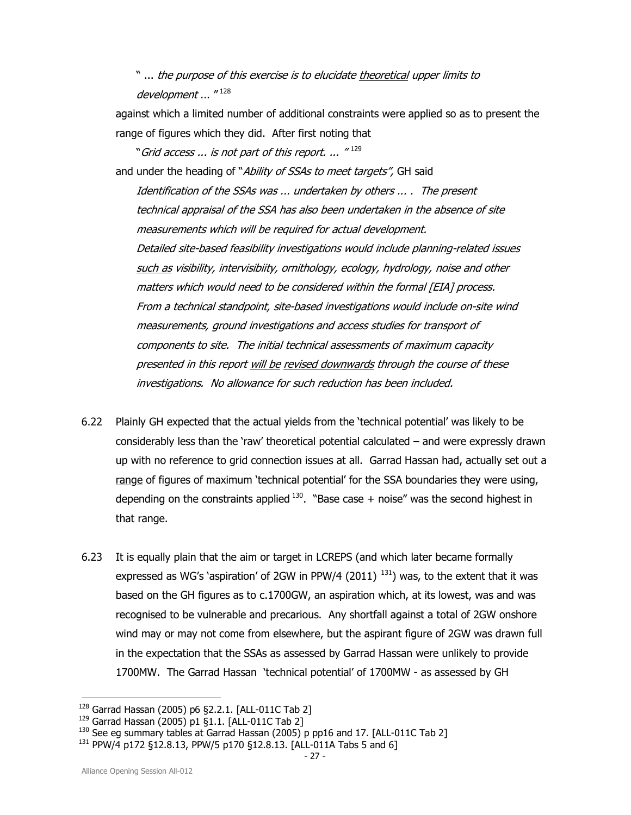" ... the purpose of this exercise is to elucidate theoretical upper limits to development ... "128

against which a limited number of additional constraints were applied so as to present the range of figures which they did. After first noting that

"Grid access ... is not part of this report. ... "  $^{129}$ and under the heading of "Ability of SSAs to meet targets", GH said

Identification of the SSAs was ... undertaken by others ... . The present technical appraisal of the SSA has also been undertaken in the absence of site measurements which will be required for actual development. Detailed site-based feasibility investigations would include planning-related issues such as visibility, intervisibiity, ornithology, ecology, hydrology, noise and other matters which would need to be considered within the formal [EIA] process. From a technical standpoint, site-based investigations would include on-site wind measurements, ground investigations and access studies for transport of components to site. The initial technical assessments of maximum capacity presented in this report will be revised downwards through the course of these investigations. No allowance for such reduction has been included.

- 6.22 Plainly GH expected that the actual yields from the 'technical potential' was likely to be considerably less than the 'raw' theoretical potential calculated – and were expressly drawn up with no reference to grid connection issues at all. Garrad Hassan had, actually set out a range of figures of maximum 'technical potential' for the SSA boundaries they were using, depending on the constraints applied  $130$ . "Base case + noise" was the second highest in that range.
- 6.23 It is equally plain that the aim or target in LCREPS (and which later became formally expressed as WG's 'aspiration' of 2GW in PPW/4 (2011)<sup>131</sup>) was, to the extent that it was based on the GH figures as to c.1700GW, an aspiration which, at its lowest, was and was recognised to be vulnerable and precarious. Any shortfall against a total of 2GW onshore wind may or may not come from elsewhere, but the aspirant figure of 2GW was drawn full in the expectation that the SSAs as assessed by Garrad Hassan were unlikely to provide 1700MW. The Garrad Hassan 'technical potential' of 1700MW - as assessed by GH

<sup>128</sup> Garrad Hassan (2005) p6 §2.2.1. [ALL-011C Tab 2]

<sup>129</sup> Garrad Hassan (2005) p1 §1.1. [ALL-011C Tab 2]

<sup>&</sup>lt;sup>130</sup> See eg summary tables at Garrad Hassan (2005) p pp16 and 17. [ALL-011C Tab 2]

<sup>&</sup>lt;sup>131</sup> PPW/4 p172 §12.8.13, PPW/5 p170 §12.8.13. [ALL-011A Tabs 5 and 6]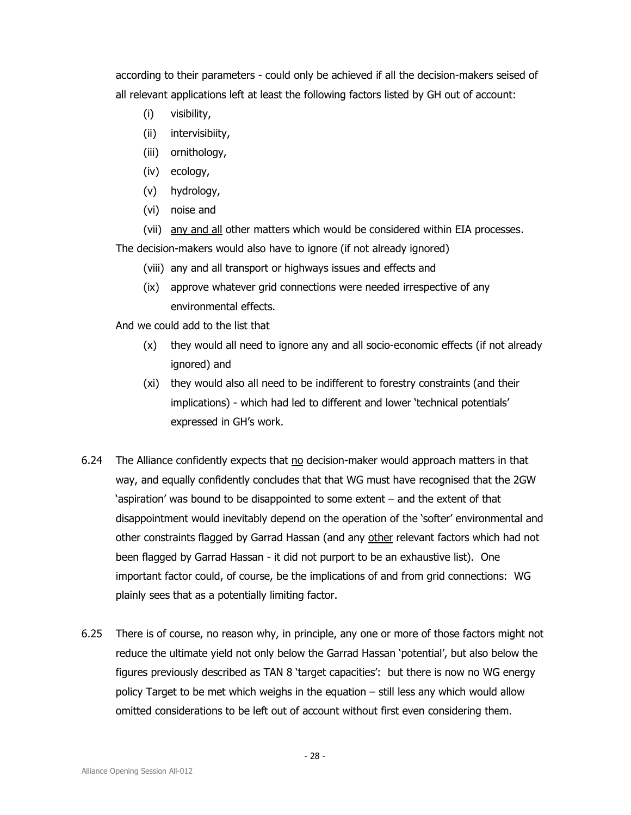according to their parameters - could only be achieved if all the decision-makers seised of all relevant applications left at least the following factors listed by GH out of account:

- (i) visibility,
- (ii) intervisibiity,
- (iii) ornithology,
- (iv) ecology,
- (v) hydrology,
- (vi) noise and

(vii) any and all other matters which would be considered within EIA processes. The decision-makers would also have to ignore (if not already ignored)

- (viii) any and all transport or highways issues and effects and
- (ix) approve whatever grid connections were needed irrespective of any environmental effects.

And we could add to the list that

- (x) they would all need to ignore any and all socio-economic effects (if not already ignored) and
- (xi) they would also all need to be indifferent to forestry constraints (and their implications) - which had led to different and lower 'technical potentials' expressed in GH's work.
- 6.24 The Alliance confidently expects that no decision-maker would approach matters in that way, and equally confidently concludes that that WG must have recognised that the 2GW 'aspiration' was bound to be disappointed to some extent – and the extent of that disappointment would inevitably depend on the operation of the 'softer' environmental and other constraints flagged by Garrad Hassan (and any other relevant factors which had not been flagged by Garrad Hassan - it did not purport to be an exhaustive list). One important factor could, of course, be the implications of and from grid connections: WG plainly sees that as a potentially limiting factor.
- 6.25 There is of course, no reason why, in principle, any one or more of those factors might not reduce the ultimate yield not only below the Garrad Hassan 'potential', but also below the figures previously described as TAN 8 'target capacities': but there is now no WG energy policy Target to be met which weighs in the equation – still less any which would allow omitted considerations to be left out of account without first even considering them.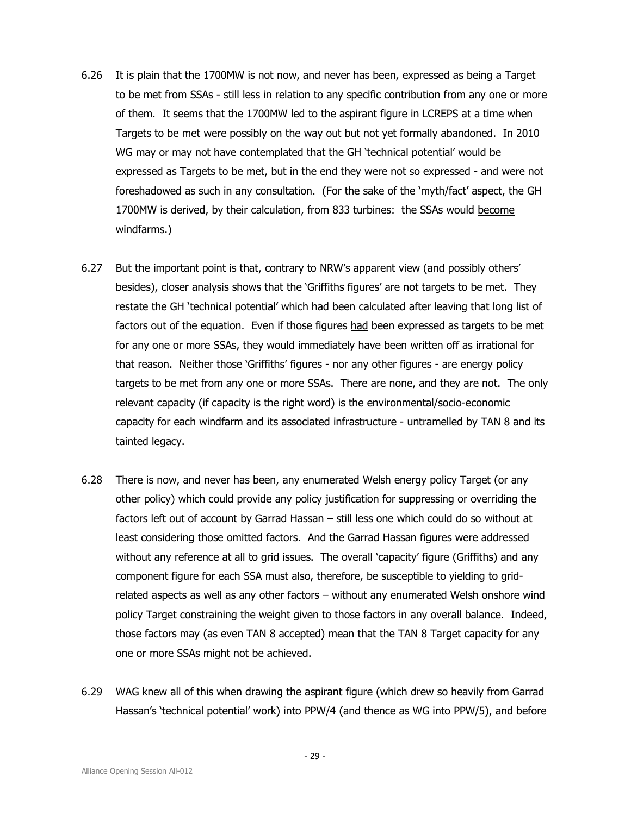- 6.26 It is plain that the 1700MW is not now, and never has been, expressed as being a Target to be met from SSAs - still less in relation to any specific contribution from any one or more of them. It seems that the 1700MW led to the aspirant figure in LCREPS at a time when Targets to be met were possibly on the way out but not yet formally abandoned. In 2010 WG may or may not have contemplated that the GH 'technical potential' would be expressed as Targets to be met, but in the end they were not so expressed - and were not foreshadowed as such in any consultation. (For the sake of the 'myth/fact' aspect, the GH 1700MW is derived, by their calculation, from 833 turbines: the SSAs would become windfarms.)
- 6.27 But the important point is that, contrary to NRW's apparent view (and possibly others' besides), closer analysis shows that the 'Griffiths figures' are not targets to be met. They restate the GH 'technical potential' which had been calculated after leaving that long list of factors out of the equation. Even if those figures had been expressed as targets to be met for any one or more SSAs, they would immediately have been written off as irrational for that reason. Neither those 'Griffiths' figures - nor any other figures - are energy policy targets to be met from any one or more SSAs. There are none, and they are not. The only relevant capacity (if capacity is the right word) is the environmental/socio-economic capacity for each windfarm and its associated infrastructure - untramelled by TAN 8 and its tainted legacy.
- 6.28 There is now, and never has been, any enumerated Welsh energy policy Target (or any other policy) which could provide any policy justification for suppressing or overriding the factors left out of account by Garrad Hassan – still less one which could do so without at least considering those omitted factors. And the Garrad Hassan figures were addressed without any reference at all to grid issues. The overall 'capacity' figure (Griffiths) and any component figure for each SSA must also, therefore, be susceptible to yielding to gridrelated aspects as well as any other factors – without any enumerated Welsh onshore wind policy Target constraining the weight given to those factors in any overall balance. Indeed, those factors may (as even TAN 8 accepted) mean that the TAN 8 Target capacity for any one or more SSAs might not be achieved.
- 6.29 WAG knew all of this when drawing the aspirant figure (which drew so heavily from Garrad Hassan's 'technical potential' work) into PPW/4 (and thence as WG into PPW/5), and before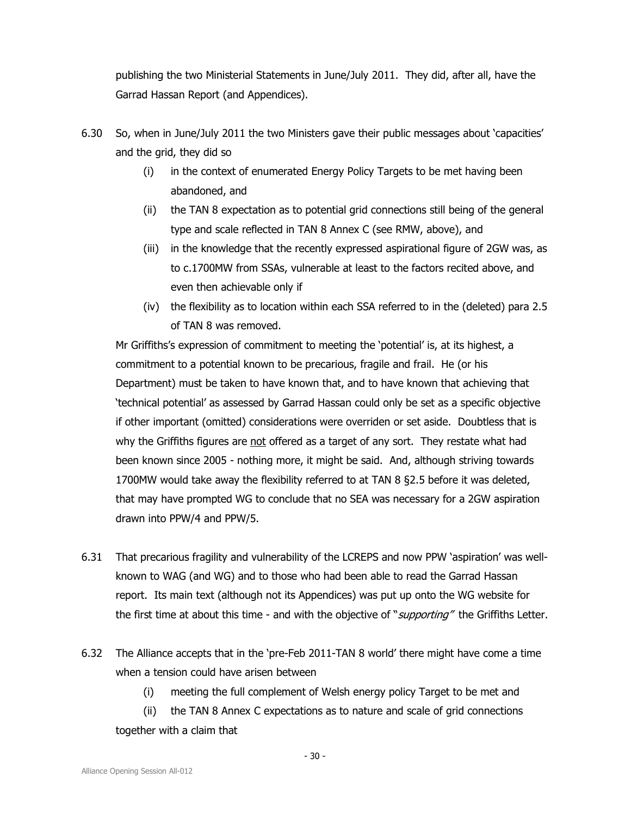publishing the two Ministerial Statements in June/July 2011. They did, after all, have the Garrad Hassan Report (and Appendices).

- 6.30 So, when in June/July 2011 the two Ministers gave their public messages about 'capacities' and the grid, they did so
	- (i) in the context of enumerated Energy Policy Targets to be met having been abandoned, and
	- (ii) the TAN 8 expectation as to potential grid connections still being of the general type and scale reflected in TAN 8 Annex C (see RMW, above), and
	- (iii) in the knowledge that the recently expressed aspirational figure of 2GW was, as to c.1700MW from SSAs, vulnerable at least to the factors recited above, and even then achievable only if
	- (iv) the flexibility as to location within each SSA referred to in the (deleted) para 2.5 of TAN 8 was removed.

Mr Griffiths's expression of commitment to meeting the 'potential' is, at its highest, a commitment to a potential known to be precarious, fragile and frail. He (or his Department) must be taken to have known that, and to have known that achieving that 'technical potential' as assessed by Garrad Hassan could only be set as a specific objective if other important (omitted) considerations were overriden or set aside. Doubtless that is why the Griffiths figures are not offered as a target of any sort. They restate what had been known since 2005 - nothing more, it might be said. And, although striving towards 1700MW would take away the flexibility referred to at TAN 8 §2.5 before it was deleted, that may have prompted WG to conclude that no SEA was necessary for a 2GW aspiration drawn into PPW/4 and PPW/5.

- 6.31 That precarious fragility and vulnerability of the LCREPS and now PPW 'aspiration' was wellknown to WAG (and WG) and to those who had been able to read the Garrad Hassan report. Its main text (although not its Appendices) was put up onto the WG website for the first time at about this time - and with the objective of "*supporting*" the Griffiths Letter.
- 6.32 The Alliance accepts that in the 'pre-Feb 2011-TAN 8 world' there might have come a time when a tension could have arisen between
	- (i) meeting the full complement of Welsh energy policy Target to be met and
	- (ii) the TAN 8 Annex C expectations as to nature and scale of grid connections together with a claim that

- 30 -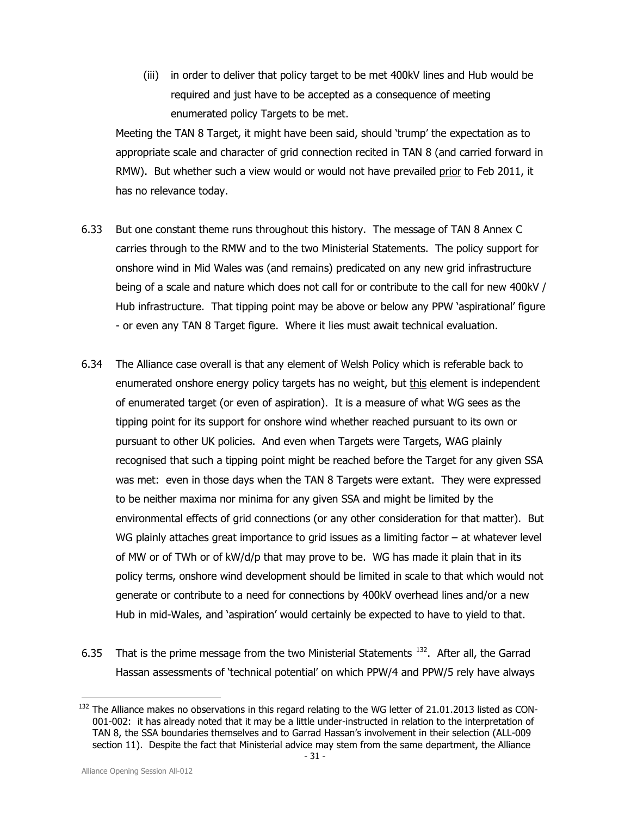(iii) in order to deliver that policy target to be met 400kV lines and Hub would be required and just have to be accepted as a consequence of meeting enumerated policy Targets to be met.

Meeting the TAN 8 Target, it might have been said, should 'trump' the expectation as to appropriate scale and character of grid connection recited in TAN 8 (and carried forward in RMW). But whether such a view would or would not have prevailed prior to Feb 2011, it has no relevance today.

- 6.33 But one constant theme runs throughout this history. The message of TAN 8 Annex C carries through to the RMW and to the two Ministerial Statements. The policy support for onshore wind in Mid Wales was (and remains) predicated on any new grid infrastructure being of a scale and nature which does not call for or contribute to the call for new 400kV / Hub infrastructure. That tipping point may be above or below any PPW 'aspirational' figure - or even any TAN 8 Target figure. Where it lies must await technical evaluation.
- 6.34 The Alliance case overall is that any element of Welsh Policy which is referable back to enumerated onshore energy policy targets has no weight, but this element is independent of enumerated target (or even of aspiration). It is a measure of what WG sees as the tipping point for its support for onshore wind whether reached pursuant to its own or pursuant to other UK policies. And even when Targets were Targets, WAG plainly recognised that such a tipping point might be reached before the Target for any given SSA was met: even in those days when the TAN 8 Targets were extant. They were expressed to be neither maxima nor minima for any given SSA and might be limited by the environmental effects of grid connections (or any other consideration for that matter). But WG plainly attaches great importance to grid issues as a limiting factor – at whatever level of MW or of TWh or of kW/d/p that may prove to be. WG has made it plain that in its policy terms, onshore wind development should be limited in scale to that which would not generate or contribute to a need for connections by 400kV overhead lines and/or a new Hub in mid-Wales, and 'aspiration' would certainly be expected to have to yield to that.
- 6.35 That is the prime message from the two Ministerial Statements<sup>132</sup>. After all, the Garrad Hassan assessments of 'technical potential' on which PPW/4 and PPW/5 rely have always

l <sup>132</sup> The Alliance makes no observations in this regard relating to the WG letter of 21.01.2013 listed as CON-001-002: it has already noted that it may be a little under-instructed in relation to the interpretation of TAN 8, the SSA boundaries themselves and to Garrad Hassan's involvement in their selection (ALL-009 section 11). Despite the fact that Ministerial advice may stem from the same department, the Alliance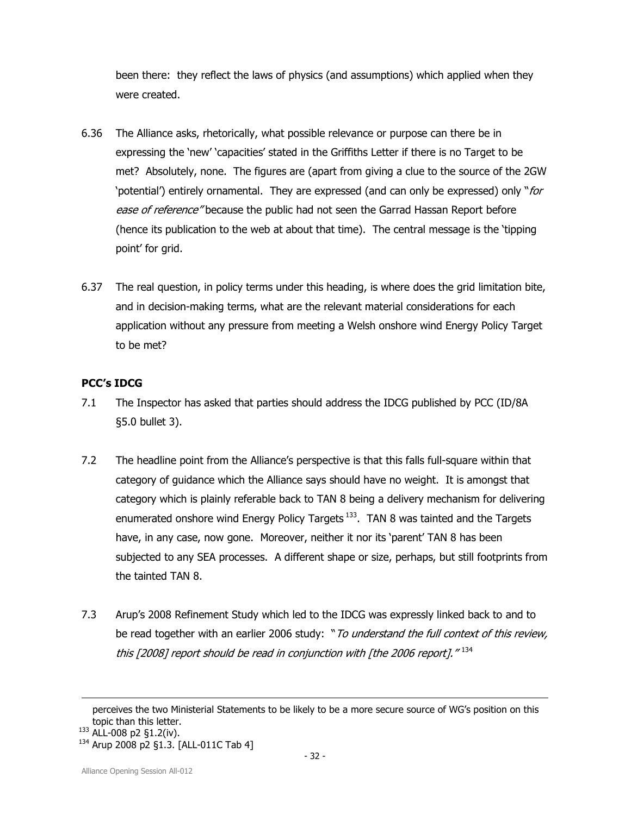been there: they reflect the laws of physics (and assumptions) which applied when they were created.

- 6.36 The Alliance asks, rhetorically, what possible relevance or purpose can there be in expressing the 'new' 'capacities' stated in the Griffiths Letter if there is no Target to be met? Absolutely, none. The figures are (apart from giving a clue to the source of the 2GW 'potential') entirely ornamental. They are expressed (and can only be expressed) only "for ease of reference" because the public had not seen the Garrad Hassan Report before (hence its publication to the web at about that time). The central message is the 'tipping point' for grid.
- 6.37 The real question, in policy terms under this heading, is where does the grid limitation bite, and in decision-making terms, what are the relevant material considerations for each application without any pressure from meeting a Welsh onshore wind Energy Policy Target to be met?

## PCC's IDCG

- 7.1 The Inspector has asked that parties should address the IDCG published by PCC (ID/8A §5.0 bullet 3).
- 7.2 The headline point from the Alliance's perspective is that this falls full-square within that category of guidance which the Alliance says should have no weight. It is amongst that category which is plainly referable back to TAN 8 being a delivery mechanism for delivering enumerated onshore wind Energy Policy Targets<sup>133</sup>. TAN 8 was tainted and the Targets have, in any case, now gone. Moreover, neither it nor its 'parent' TAN 8 has been subjected to any SEA processes. A different shape or size, perhaps, but still footprints from the tainted TAN 8.
- 7.3 Arup's 2008 Refinement Study which led to the IDCG was expressly linked back to and to be read together with an earlier 2006 study: "To understand the full context of this review, this [2008] report should be read in conjunction with [the 2006 report]."  $^{\rm 134}$

l perceives the two Ministerial Statements to be likely to be a more secure source of WG's position on this topic than this letter.

<sup>133</sup> ALL-008 p2 §1.2(iv).

<sup>134</sup> Arup 2008 p2 §1.3. [ALL-011C Tab 4]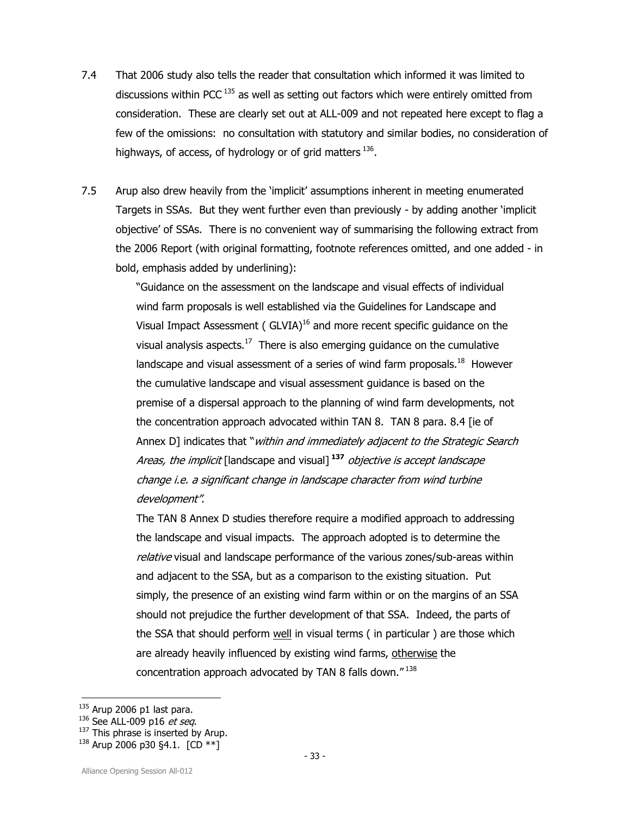- 7.4 That 2006 study also tells the reader that consultation which informed it was limited to discussions within PCC<sup>135</sup> as well as setting out factors which were entirely omitted from consideration. These are clearly set out at ALL-009 and not repeated here except to flag a few of the omissions: no consultation with statutory and similar bodies, no consideration of highways, of access, of hydrology or of grid matters  $^{136}$ .
- 7.5 Arup also drew heavily from the 'implicit' assumptions inherent in meeting enumerated Targets in SSAs. But they went further even than previously - by adding another 'implicit objective' of SSAs. There is no convenient way of summarising the following extract from the 2006 Report (with original formatting, footnote references omitted, and one added - in bold, emphasis added by underlining):

"Guidance on the assessment on the landscape and visual effects of individual wind farm proposals is well established via the Guidelines for Landscape and Visual Impact Assessment ( $GUIA)^{16}$  and more recent specific quidance on the visual analysis aspects.<sup>17</sup> There is also emerging guidance on the cumulative landscape and visual assessment of a series of wind farm proposals. $^{18}$  However the cumulative landscape and visual assessment guidance is based on the premise of a dispersal approach to the planning of wind farm developments, not the concentration approach advocated within TAN 8. TAN 8 para. 8.4 [ie of Annex D] indicates that "within and immediately adjacent to the Strategic Search Areas, the implicit [landscape and visual]<sup>137</sup> objective is accept landscape change i.e. a significant change in landscape character from wind turbine development".

The TAN 8 Annex D studies therefore require a modified approach to addressing the landscape and visual impacts. The approach adopted is to determine the relative visual and landscape performance of the various zones/sub-areas within and adjacent to the SSA, but as a comparison to the existing situation. Put simply, the presence of an existing wind farm within or on the margins of an SSA should not prejudice the further development of that SSA. Indeed, the parts of the SSA that should perform well in visual terms (in particular) are those which are already heavily influenced by existing wind farms, otherwise the concentration approach advocated by TAN 8 falls down."<sup>138</sup>

- $137$  This phrase is inserted by Arup.
- $138$  Arup 2006 p30 §4.1.  $[CD **]$

 $135$  Arup 2006 p1 last para.

 $136$  See ALL-009 p16 et seq.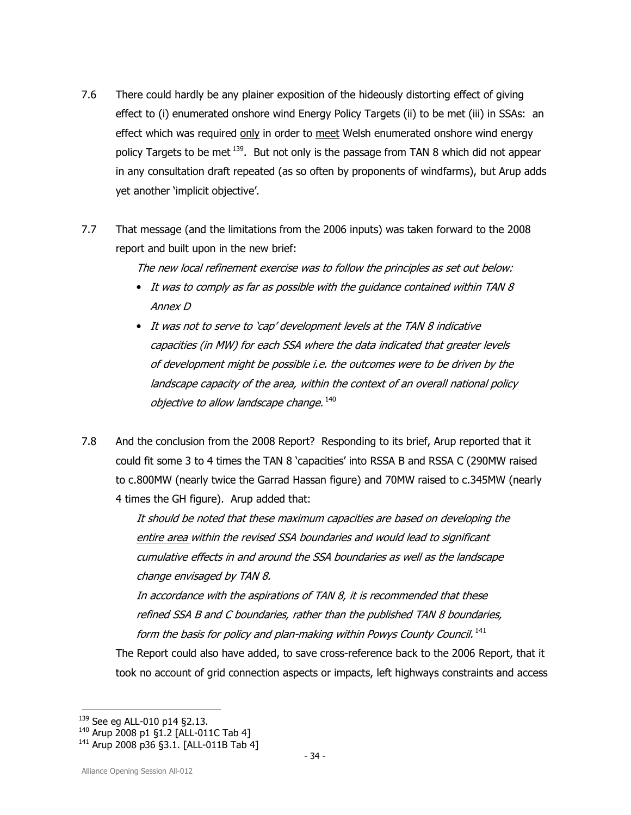- 7.6 There could hardly be any plainer exposition of the hideously distorting effect of giving effect to (i) enumerated onshore wind Energy Policy Targets (ii) to be met (iii) in SSAs: an effect which was required only in order to meet Welsh enumerated onshore wind energy policy Targets to be met  $139$ . But not only is the passage from TAN 8 which did not appear in any consultation draft repeated (as so often by proponents of windfarms), but Arup adds yet another 'implicit objective'.
- 7.7 That message (and the limitations from the 2006 inputs) was taken forward to the 2008 report and built upon in the new brief:

The new local refinement exercise was to follow the principles as set out below:

- It was to comply as far as possible with the guidance contained within TAN 8 Annex D
- It was not to serve to 'cap' development levels at the TAN 8 indicative capacities (in MW) for each SSA where the data indicated that greater levels of development might be possible i.e. the outcomes were to be driven by the landscape capacity of the area, within the context of an overall national policy objective to allow landscape change.  $^{140}$
- 7.8 And the conclusion from the 2008 Report? Responding to its brief, Arup reported that it could fit some 3 to 4 times the TAN 8 'capacities' into RSSA B and RSSA C (290MW raised to c.800MW (nearly twice the Garrad Hassan figure) and 70MW raised to c.345MW (nearly 4 times the GH figure). Arup added that:

It should be noted that these maximum capacities are based on developing the entire area within the revised SSA boundaries and would lead to significant cumulative effects in and around the SSA boundaries as well as the landscape change envisaged by TAN 8.

In accordance with the aspirations of TAN 8, it is recommended that these refined SSA B and C boundaries, rather than the published TAN 8 boundaries, form the basis for policy and plan-making within Powys County Council.<sup>141</sup>

The Report could also have added, to save cross-reference back to the 2006 Report, that it took no account of grid connection aspects or impacts, left highways constraints and access

l <sup>139</sup> See eg ALL-010 p14 §2.13.

<sup>140</sup> Arup 2008 p1 §1.2 [ALL-011C Tab 4]

<sup>141</sup> Arup 2008 p36 §3.1. [ALL-011B Tab 4]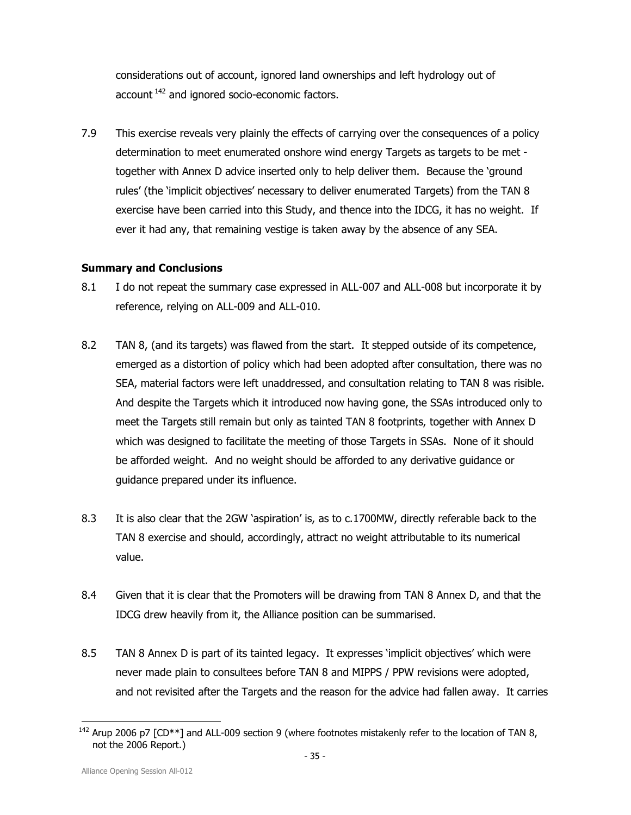considerations out of account, ignored land ownerships and left hydrology out of account<sup>142</sup> and ignored socio-economic factors.

7.9 This exercise reveals very plainly the effects of carrying over the consequences of a policy determination to meet enumerated onshore wind energy Targets as targets to be met together with Annex D advice inserted only to help deliver them. Because the 'ground rules' (the 'implicit objectives' necessary to deliver enumerated Targets) from the TAN 8 exercise have been carried into this Study, and thence into the IDCG, it has no weight. If ever it had any, that remaining vestige is taken away by the absence of any SEA.

## Summary and Conclusions

- 8.1 I do not repeat the summary case expressed in ALL-007 and ALL-008 but incorporate it by reference, relying on ALL-009 and ALL-010.
- 8.2 TAN 8, (and its targets) was flawed from the start. It stepped outside of its competence, emerged as a distortion of policy which had been adopted after consultation, there was no SEA, material factors were left unaddressed, and consultation relating to TAN 8 was risible. And despite the Targets which it introduced now having gone, the SSAs introduced only to meet the Targets still remain but only as tainted TAN 8 footprints, together with Annex D which was designed to facilitate the meeting of those Targets in SSAs. None of it should be afforded weight. And no weight should be afforded to any derivative guidance or guidance prepared under its influence.
- 8.3 It is also clear that the 2GW 'aspiration' is, as to c.1700MW, directly referable back to the TAN 8 exercise and should, accordingly, attract no weight attributable to its numerical value.
- 8.4 Given that it is clear that the Promoters will be drawing from TAN 8 Annex D, and that the IDCG drew heavily from it, the Alliance position can be summarised.
- 8.5 TAN 8 Annex D is part of its tainted legacy. It expresses 'implicit objectives' which were never made plain to consultees before TAN 8 and MIPPS / PPW revisions were adopted, and not revisited after the Targets and the reason for the advice had fallen away. It carries

<sup>1</sup> <sup>142</sup> Arup 2006 p7  $[CD**]$  and ALL-009 section 9 (where footnotes mistakenly refer to the location of TAN 8, not the 2006 Report.)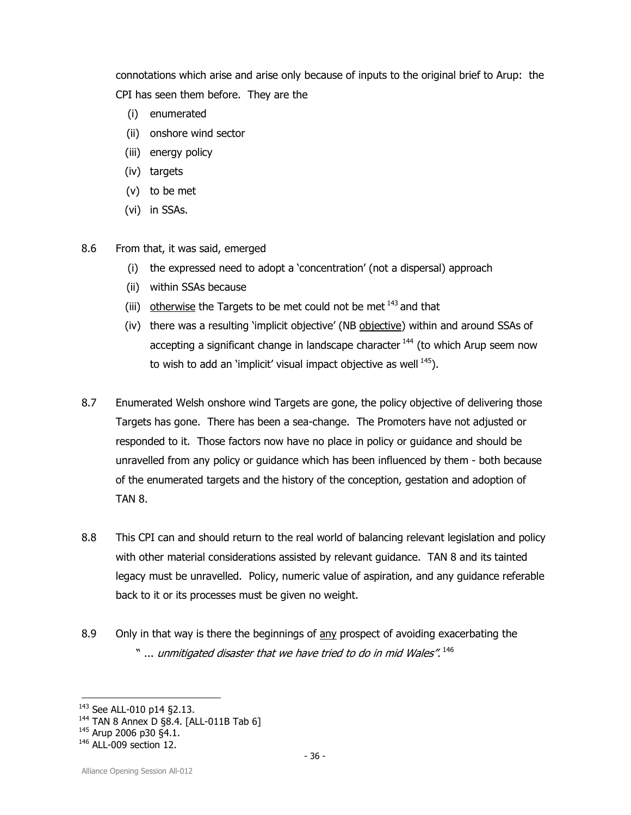connotations which arise and arise only because of inputs to the original brief to Arup: the CPI has seen them before. They are the

- (i) enumerated
- (ii) onshore wind sector
- (iii) energy policy
- (iv) targets
- (v) to be met
- (vi) in SSAs.
- 8.6 From that, it was said, emerged
	- (i) the expressed need to adopt a 'concentration' (not a dispersal) approach
	- (ii) within SSAs because
	- (iii) otherwise the Targets to be met could not be met  $143$  and that
	- (iv) there was a resulting 'implicit objective' (NB objective) within and around SSAs of accepting a significant change in landscape character<sup>144</sup> (to which Arup seem now to wish to add an 'implicit' visual impact objective as well  $145$ ).
- 8.7 Enumerated Welsh onshore wind Targets are gone, the policy objective of delivering those Targets has gone. There has been a sea-change. The Promoters have not adjusted or responded to it. Those factors now have no place in policy or guidance and should be unravelled from any policy or guidance which has been influenced by them - both because of the enumerated targets and the history of the conception, gestation and adoption of TAN 8.
- 8.8 This CPI can and should return to the real world of balancing relevant legislation and policy with other material considerations assisted by relevant guidance. TAN 8 and its tainted legacy must be unravelled. Policy, numeric value of aspiration, and any guidance referable back to it or its processes must be given no weight.
- 8.9 Only in that way is there the beginnings of any prospect of avoiding exacerbating the  $\lq$  ... unmitigated disaster that we have tried to do in mid Wales".  $^{146}$

l <sup>143</sup> See ALL-010 p14 §2.13.

<sup>&</sup>lt;sup>144</sup> TAN 8 Annex D §8.4. [ALL-011B Tab 6]

<sup>&</sup>lt;sup>145</sup> Arup 2006 p30 §4.1.

<sup>146</sup> ALL-009 section 12.